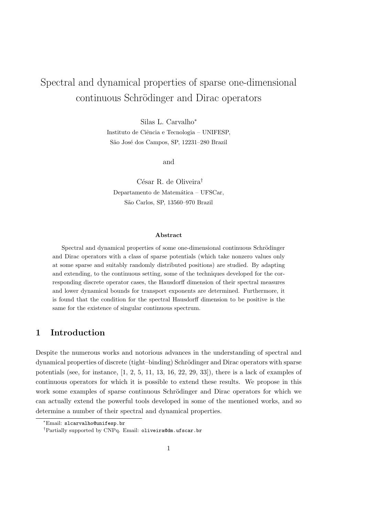# Spectral and dynamical properties of sparse one-dimensional continuous Schrödinger and Dirac operators

Silas L. Carvalho<sup>∗</sup> Instituto de Ciência e Tecnologia – UNIFESP, São José dos Campos, SP, 12231–280 Brazil

and

 $C<sub>ésar</sub> R. de Oliveira<sup>†</sup>$ Departamento de Matemática – UFSCar, S˜ao Carlos, SP, 13560–970 Brazil

### Abstract

Spectral and dynamical properties of some one-dimensional continuous Schrödinger and Dirac operators with a class of sparse potentials (which take nonzero values only at some sparse and suitably randomly distributed positions) are studied. By adapting and extending, to the continuous setting, some of the techniques developed for the corresponding discrete operator cases, the Hausdorff dimension of their spectral measures and lower dynamical bounds for transport exponents are determined. Furthermore, it is found that the condition for the spectral Hausdorff dimension to be positive is the same for the existence of singular continuous spectrum.

## 1 Introduction

Despite the numerous works and notorious advances in the understanding of spectral and dynamical properties of discrete (tight–binding) Schrödinger and Dirac operators with sparse potentials (see, for instance,  $\begin{bmatrix} 1, 2, 5, 11, 13, 16, 22, 29, 33 \end{bmatrix}$ ), there is a lack of examples of continuous operators for which it is possible to extend these results. We propose in this work some examples of sparse continuous Schrödinger and Dirac operators for which we can actually extend the powerful tools developed in some of the mentioned works, and so determine a number of their spectral and dynamical properties.

<sup>∗</sup>Email: slcarvalho@unifesp.br

<sup>†</sup>Partially supported by CNPq. Email: oliveira@dm.ufscar.br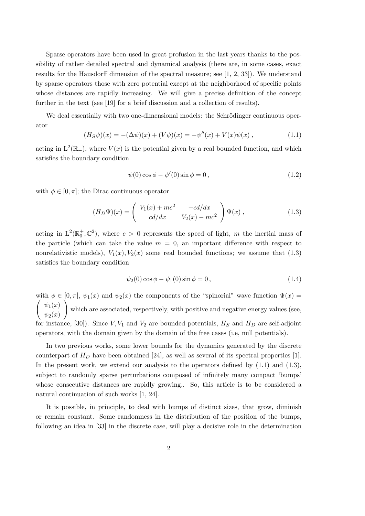Sparse operators have been used in great profusion in the last years thanks to the possibility of rather detailed spectral and dynamical analysis (there are, in some cases, exact results for the Hausdorff dimension of the spectral measure; see [1, 2, 33]). We understand by sparse operators those with zero potential except at the neighborhood of specific points whose distances are rapidly increasing. We will give a precise definition of the concept further in the text (see [19] for a brief discussion and a collection of results).

We deal essentially with two one-dimensional models: the Schrödinger continuous operator

$$
(H_S \psi)(x) = -(\Delta \psi)(x) + (V \psi)(x) = -\psi''(x) + V(x)\psi(x) , \qquad (1.1)
$$

acting in  $L^2(\mathbb{R}_+),$  where  $V(x)$  is the potential given by a real bounded function, and which satisfies the boundary condition

$$
\psi(0)\cos\phi - \psi'(0)\sin\phi = 0, \qquad (1.2)
$$

with  $\phi \in [0, \pi]$ ; the Dirac continuous operator

$$
(H_D \Psi)(x) = \begin{pmatrix} V_1(x) + mc^2 & -cd/dx \\ cd/dx & V_2(x) - mc^2 \end{pmatrix} \Psi(x) , \qquad (1.3)
$$

acting in  $L^2(\mathbb{R}_0^+, \mathbb{C}^2)$ , where  $c > 0$  represents the speed of light, m the inertial mass of the particle (which can take the value  $m = 0$ , an important difference with respect to nonrelativistic models),  $V_1(x), V_2(x)$  some real bounded functions; we assume that (1.3) satisfies the boundary condition

$$
\psi_2(0)\cos\phi - \psi_1(0)\sin\phi = 0, \qquad (1.4)
$$

with  $\phi \in [0, \pi], \psi_1(x)$  and  $\psi_2(x)$  the components of the "spinorial" wave function  $\Psi(x)$  $\int \psi_1(x)$  $\psi_2(x)$  $\setminus$ which are associated, respectively, with positive and negative energy values (see, for instance, [30]). Since  $V, V_1$  and  $V_2$  are bounded potentials,  $H_S$  and  $H_D$  are self-adjoint operators, with the domain given by the domain of the free cases (i.e, null potentials).

In two previous works, some lower bounds for the dynamics generated by the discrete counterpart of  $H_D$  have been obtained [24], as well as several of its spectral properties [1]. In the present work, we extend our analysis to the operators defined by  $(1.1)$  and  $(1.3)$ , subject to randomly sparse perturbations composed of infinitely many compact 'bumps' whose consecutive distances are rapidly growing.. So, this article is to be considered a natural continuation of such works [1, 24].

It is possible, in principle, to deal with bumps of distinct sizes, that grow, diminish or remain constant. Some randomness in the distribution of the position of the bumps, following an idea in [33] in the discrete case, will play a decisive role in the determination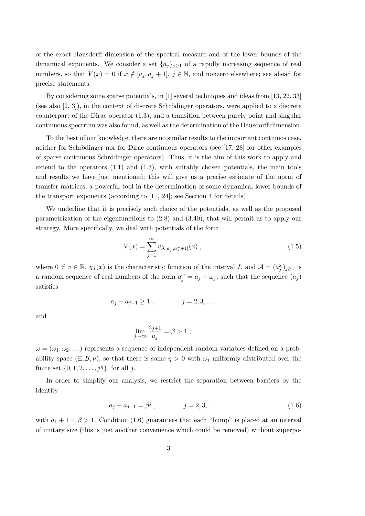of the exact Hausdorff dimension of the spectral measure and of the lower bounds of the dynamical exponents. We consider a set  $\{a_j\}_{j\geq 1}$  of a rapidly increasing sequence of real numbers, so that  $V(x) = 0$  if  $x \notin [a_j, a_j + 1], j \in \mathbb{N}$ , and nonzero elsewhere; see ahead for precise statements.

By considering some sparse potentials, in [1] several techniques and ideas from [13, 22, 33] (see also  $[2, 3]$ ), in the context of discrete Schrödinger operators, were applied to a discrete counterpart of the Dirac operator (1.3), and a transition between purely point and singular continuous spectrum was also found, as well as the determination of the Hausdorff dimension.

To the best of our knowledge, there are no similar results to the important continuos case, neither for Schrödinger nor for Dirac continuous operators (see [17, 28] for other examples of sparse continuous Schrödinger operators). Thus, it is the aim of this work to apply and extend to the operators (1.1) and (1.3), with suitably chosen potentials, the main tools and results we have just mentioned; this will give us a precise estimate of the norm of transfer matrices, a powerful tool in the determination of some dynamical lower bounds of the transport exponents (according to [11, 24]; see Section 4 for details).

We underline that it is precisely such choice of the potentials, as well as the proposed parametrization of the eigenfunctions to (2.8) and (3.40), that will permit us to apply our strategy. More specifically, we deal with potentials of the form

$$
V(x) = \sum_{j=1}^{\infty} v \chi_{[a_j^{\omega}, a_j^{\omega} + 1]}(x) , \qquad (1.5)
$$

where  $0 \neq v \in \mathbb{R}$ ,  $\chi_I(x)$  is the characteristic function of the interval I, and  $\mathcal{A} = (a_j^{\omega})_{j \geq 1}$  is a random sequence of real numbers of the form  $a_j^{\omega} = a_j + \omega_j$ , such that the sequence  $(a_j)$ satisfies

$$
a_j - a_{j-1} \ge 1
$$
,  $j = 2, 3, ...$ 

and

$$
\lim_{j \to \infty} \frac{a_{j+1}}{a_j} = \beta > 1 ;
$$

 $\omega = (\omega_1, \omega_2, \dots)$  represents a sequence of independent random variables defined on a probability space  $(\Xi, \mathcal{B}, \nu)$ , so that there is some  $\eta > 0$  with  $\omega_j$  uniformly distributed over the finite set  $\{0, 1, 2, \ldots, j^{\eta}\}\$ , for all j.

In order to simplify our analysis, we restrict the separation between barriers by the identity

$$
a_j - a_{j-1} = \beta^j , \qquad j = 2, 3, \dots \tag{1.6}
$$

with  $a_1 + 1 = \beta > 1$ . Condition (1.6) guarantees that each "bump" is placed at an interval of unitary size (this is just another convenience which could be removed) without superpo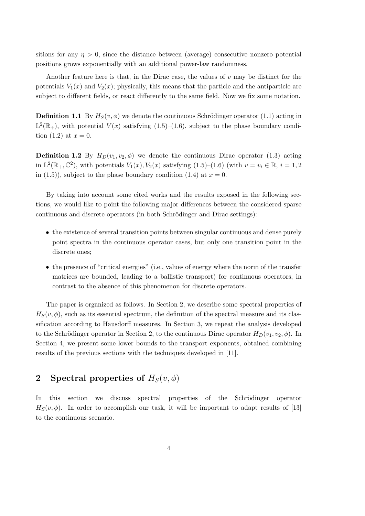sitions for any  $\eta > 0$ , since the distance between (average) consecutive nonzero potential positions grows exponentially with an additional power-law randomness.

Another feature here is that, in the Dirac case, the values of  $v$  may be distinct for the potentials  $V_1(x)$  and  $V_2(x)$ ; physically, this means that the particle and the antiparticle are subject to different fields, or react differently to the same field. Now we fix some notation.

**Definition 1.1** By  $H_S(v, \phi)$  we denote the continuous Schrödinger operator (1.1) acting in  $L^2(\mathbb{R}_+),$  with potential  $V(x)$  satisfying  $(1.5)-(1.6)$ , subject to the phase boundary condition (1.2) at  $x = 0$ .

**Definition 1.2** By  $H_D(v_1, v_2, \phi)$  we denote the continuous Dirac operator (1.3) acting in  $L^2(\mathbb{R}_+,\mathbb{C}^2)$ , with potentials  $V_1(x), V_2(x)$  satisfying  $(1.5)-(1.6)$  (with  $v=v_i \in \mathbb{R}, i=1,2$ in (1.5)), subject to the phase boundary condition (1.4) at  $x = 0$ .

By taking into account some cited works and the results exposed in the following sections, we would like to point the following major differences between the considered sparse continuous and discrete operators (in both Schrödinger and Dirac settings):

- the existence of several transition points between singular continuous and dense purely point spectra in the continuous operator cases, but only one transition point in the discrete ones;
- the presence of "critical energies" (i.e., values of energy where the norm of the transfer matrices are bounded, leading to a ballistic transport) for continuous operators, in contrast to the absence of this phenomenon for discrete operators.

The paper is organized as follows. In Section 2, we describe some spectral properties of  $H_S(v, \phi)$ , such as its essential spectrum, the definition of the spectral measure and its classification according to Hausdorff measures. In Section 3, we repeat the analysis developed to the Schrödinger operator in Section 2, to the continuous Dirac operator  $H_D(v_1, v_2, \phi)$ . In Section 4, we present some lower bounds to the transport exponents, obtained combining results of the previous sections with the techniques developed in [11].

# 2 Spectral properties of  $H_S(v, \phi)$

In this section we discuss spectral properties of the Schrödinger operator  $H_S(v, \phi)$ . In order to accomplish our task, it will be important to adapt results of [13] to the continuous scenario.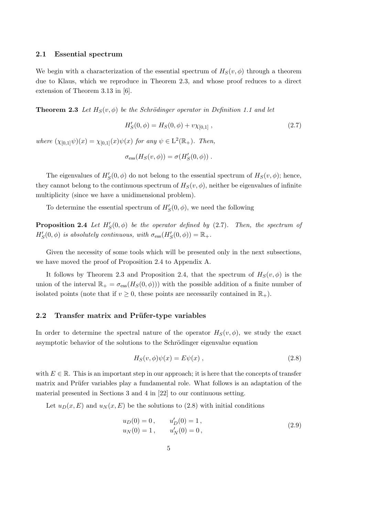#### 2.1 Essential spectrum

We begin with a characterization of the essential spectrum of  $H_S(v, \phi)$  through a theorem due to Klaus, which we reproduce in Theorem 2.3, and whose proof reduces to a direct extension of Theorem 3.13 in [6].

**Theorem 2.3** Let  $H_S(v, \phi)$  be the Schrödinger operator in Definition 1.1 and let

$$
H'_{S}(0,\phi) = H_{S}(0,\phi) + v\chi_{[0,1]}, \qquad (2.7)
$$

where  $(\chi_{[0,1]}\psi)(x) = \chi_{[0,1]}(x)\psi(x)$  for any  $\psi \in L^2(\mathbb{R}_+)$ . Then,

$$
\sigma_{\rm ess}(H_S(v,\phi)) = \sigma(H_S'(0,\phi)) \ .
$$

The eigenvalues of  $H'_{\mathcal{S}}(0, \phi)$  do not belong to the essential spectrum of  $H_{\mathcal{S}}(v, \phi)$ ; hence, they cannot belong to the continuous spectrum of  $H_S(v, \phi)$ , neither be eigenvalues of infinite multiplicity (since we have a unidimensional problem).

To determine the essential spectrum of  $H_S'(0, \phi)$ , we need the following

**Proposition 2.4** Let  $H'_{\mathcal{S}}(0, \phi)$  be the operator defined by (2.7). Then, the spectrum of  $H'_{S}(0, \phi)$  is absolutely continuous, with  $\sigma_{\text{ess}}(H'_{S}(0, \phi)) = \mathbb{R}_{+}$ .

Given the necessity of some tools which will be presented only in the next subsections, we have moved the proof of Proposition 2.4 to Appendix A.

It follows by Theorem 2.3 and Proposition 2.4, that the spectrum of  $H_S(v, \phi)$  is the union of the interval  $\mathbb{R}_+ = \sigma_{\text{ess}}(H_S(0,\phi))$  with the possible addition of a finite number of isolated points (note that if  $v \geq 0$ , these points are necessarily contained in  $\mathbb{R}_+$ ).

### 2.2 Transfer matrix and Prüfer-type variables

In order to determine the spectral nature of the operator  $H_S(v, \phi)$ , we study the exact asymptotic behavior of the solutions to the Schrödinger eigenvalue equation

$$
H_S(v, \phi)\psi(x) = E\psi(x) , \qquad (2.8)
$$

with  $E \in \mathbb{R}$ . This is an important step in our approach; it is here that the concepts of transfer matrix and Prüfer variables play a fundamental role. What follows is an adaptation of the material presented in Sections 3 and 4 in [22] to our continuous setting.

Let  $u_D(x, E)$  and  $u_N(x, E)$  be the solutions to (2.8) with initial conditions

$$
u_D(0) = 0, \t u'_D(0) = 1,u_N(0) = 1, \t u'_N(0) = 0,
$$
\t(2.9)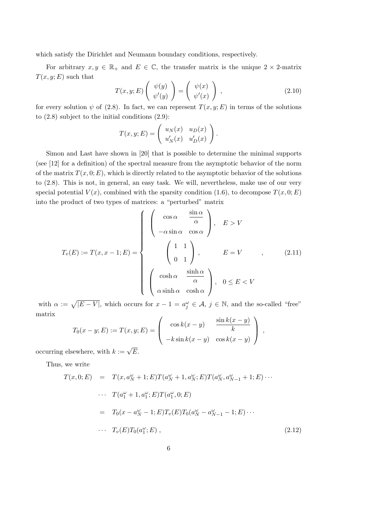which satisfy the Dirichlet and Neumann boundary conditions, respectively.

For arbitrary  $x, y \in \mathbb{R}_+$  and  $E \in \mathbb{C}$ , the transfer matrix is the unique  $2 \times 2$ -matrix  $T(x, y; E)$  such that **1999**  $\sim$ 

$$
T(x, y; E) \left( \begin{array}{c} \psi(y) \\ \psi'(y) \end{array} \right) = \left( \begin{array}{c} \psi(x) \\ \psi'(x) \end{array} \right) , \tag{2.10}
$$

for every solution  $\psi$  of (2.8). In fact, we can represent  $T(x, y; E)$  in terms of the solutions to (2.8) subject to the initial conditions (2.9):

$$
T(x, y; E) = \begin{pmatrix} u_N(x) & u_D(x) \\ u'_N(x) & u'_D(x) \end{pmatrix}.
$$

Simon and Last have shown in [20] that is possible to determine the minimal supports (see [12] for a definition) of the spectral measure from the asymptotic behavior of the norm of the matrix  $T(x, 0; E)$ , which is directly related to the asymptotic behavior of the solutions to (2.8). This is not, in general, an easy task. We will, nevertheless, make use of our very special potential  $V(x)$ , combined with the sparsity condition (1.6), to decompose  $T(x, 0; E)$ into the product of two types of matrices: a "perturbed" matrix

$$
T_v(E) := T(x, x - 1; E) = \begin{cases} \begin{pmatrix} \cos \alpha & \frac{\sin \alpha}{\alpha} \\ -\alpha \sin \alpha & \cos \alpha \end{pmatrix}, & E > V \\ \begin{pmatrix} 1 & 1 \\ 0 & 1 \end{pmatrix}, & E = V \\ \begin{pmatrix} \cosh \alpha & \frac{\sinh \alpha}{\alpha} \\ \alpha \sinh \alpha & \cosh \alpha \end{pmatrix}, & 0 \le E < V \end{cases}
$$
 (2.11)

with  $\alpha := \sqrt{|E-V|}$ , which occurs for  $x - 1 = a_j^{\omega} \in \mathcal{A}, j \in \mathbb{N}$ , and the so-called "free" matrix  $\overline{1}$ 

$$
T_0(x - y; E) := T(x, y; E) = \begin{pmatrix} \cos k(x - y) & \frac{\sin k(x - y)}{k} \\ -k \sin k(x - y) & \cos k(x - y) \end{pmatrix},
$$

occurring elsewhere, with  $k := \sqrt{E}$ .

Thus, we write

$$
T(x, 0; E) = T(x, a_N^{\omega} + 1; E) T(a_N^{\omega} + 1, a_N^{\omega}; E) T(a_N^{\omega}, a_{N-1}^{\omega} + 1; E) \cdots
$$
  
\n
$$
\cdots T(a_1^{\omega} + 1, a_1^{\omega}; E) T(a_1^{\omega}, 0; E)
$$
  
\n
$$
= T_0(x - a_N^{\omega} - 1; E) T_v(E) T_0(a_N^{\omega} - a_{N-1}^{\omega} - 1; E) \cdots
$$
  
\n
$$
\cdots T_v(E) T_0(a_1^{\omega}; E), \qquad (2.12)
$$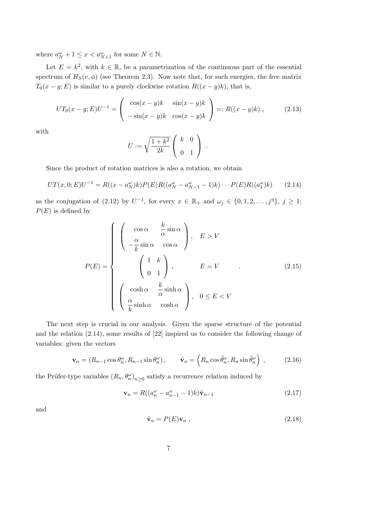where  $a_N^{\omega} + 1 \leq x < a_{N+1}^{\omega}$  for some  $N \in \mathbb{N}$ .

Let  $E = k^2$ , with  $k \in \mathbb{R}$ , be a parametrization of the continuous part of the essential spectrum of  $H_S(v, \phi)$  (see Theorem 2.3). Now note that, for such energies, the free matrix  $T_0(x-y; E)$  is similar to a purely clockwise rotation  $R((x-y)k)$ , that is,

$$
UT_0(x-y;E)U^{-1} = \begin{pmatrix} \cos(x-y)k & \sin(x-y)k \\ -\sin(x-y)k & \cos(x-y)k \end{pmatrix} =: R((x-y)k), \quad (2.13)
$$

with

$$
U := \sqrt{\frac{1+k^2}{2k}} \left( \begin{array}{cc} k & 0 \\ 0 & 1 \end{array} \right) .
$$

Since the product of rotation matrices is also a rotation, we obtain

$$
UT(x,0;E)U^{-1} = R((x - a_N^{\omega})k)P(E)R((a_N^{\omega} - a_{N-1}^{\omega} - 1)k) \cdots P(E)R((a_1^{\omega})k)
$$
 (2.14)

as the conjugation of (2.12) by  $U^{-1}$ , for every  $x \in \mathbb{R}_+$  and  $\omega_j \in \{0, 1, 2, \ldots, j^{\eta}\}, j \geq 1$ ;  $P(E)$  is defined by

$$
P(E) = \begin{cases} \begin{pmatrix} \cos \alpha & \frac{k}{\alpha} \sin \alpha \\ -\frac{\alpha}{k} \sin \alpha & \cos \alpha \end{pmatrix}, & E > V \\ \begin{pmatrix} 1 & k \\ 0 & 1 \end{pmatrix}, & E = V \\ \begin{pmatrix} \cosh \alpha & \frac{k}{\alpha} \sinh \alpha \\ \frac{\alpha}{k} \sinh \alpha & \cosh \alpha \end{pmatrix}, & 0 \le E < V \end{cases}
$$
 (2.15)

The next step is crucial in our analysis. Given the sparse structure of the potential and the relation (2.14), some results of [22] inspired us to consider the following change of variables: given the vectors

$$
\mathbf{v}_n = (R_{n-1}\cos\theta_n^{\omega}, R_{n-1}\sin\theta_n^{\omega}), \qquad \tilde{\mathbf{v}}_n = \left(R_n\cos\tilde{\theta}_n^{\omega}, R_n\sin\tilde{\theta}_n^{\omega}\right), \qquad (2.16)
$$

the Prüfer-type variables  $(R_n, \theta_n^{\omega})_{n \geq 0}$  satisfy a recurrence relation induced by

$$
\mathbf{v}_n = R((a_n^{\omega} - a_{n-1}^{\omega} - 1)k)\tilde{\mathbf{v}}_{n-1}
$$
\n
$$
(2.17)
$$

and

$$
\tilde{\mathbf{v}}_n = P(E)\mathbf{v}_n \tag{2.18}
$$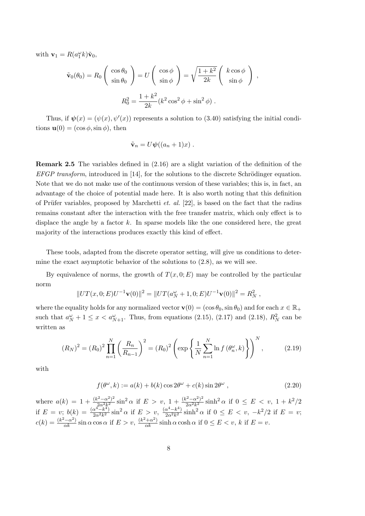with  $\mathbf{v}_1 = R(a_1^{\omega} k)\tilde{\mathbf{v}}_0$ ,

$$
\tilde{\mathbf{v}}_0(\theta_0) = R_0 \begin{pmatrix} \cos \theta_0 \\ \sin \theta_0 \end{pmatrix} = U \begin{pmatrix} \cos \phi \\ \sin \phi \end{pmatrix} = \sqrt{\frac{1 + k^2}{2k}} \begin{pmatrix} k \cos \phi \\ \sin \phi \end{pmatrix} ,
$$

$$
R_0^2 = \frac{1 + k^2}{2k} (k^2 \cos^2 \phi + \sin^2 \phi) .
$$

Thus, if  $\psi(x) = (\psi(x), \psi'(x))$  represents a solution to (3.40) satisfying the initial conditions  $\mathbf{u}(0) = (\cos \phi, \sin \phi)$ , then

$$
\tilde{\mathbf{v}}_n = U\boldsymbol{\psi}((a_n+1)x) .
$$

Remark 2.5 The variables defined in (2.16) are a slight variation of the definition of the  $EFGP$  transform, introduced in [14], for the solutions to the discrete Schrödinger equation. Note that we do not make use of the continuous version of these variables; this is, in fact, an advantage of the choice of potential made here. It is also worth noting that this definition of Prüfer variables, proposed by Marchetti *et. al.* [22], is based on the fact that the radius remains constant after the interaction with the free transfer matrix, which only effect is to displace the angle by a factor  $k$ . In sparse models like the one considered here, the great majority of the interactions produces exactly this kind of effect.

These tools, adapted from the discrete operator setting, will give us conditions to determine the exact asymptotic behavior of the solutions to  $(2.8)$ , as we will see.

By equivalence of norms, the growth of  $T(x, 0; E)$  may be controlled by the particular norm

$$
||UT(x,0;E)U^{-1}\mathbf{v}(0)||^2 = ||UT(a_N^{\omega} + 1,0;E)U^{-1}\mathbf{v}(0)||^2 = R_N^2,
$$

where the equality holds for any normalized vector  $\mathbf{v}(0) = (\cos \theta_0, \sin \theta_0)$  and for each  $x \in \mathbb{R}_+$ such that  $a_N^{\omega} + 1 \leq x < a_{N+1}^{\omega}$ . Thus, from equations (2.15), (2.17) and (2.18),  $R_N^2$  can be written as

$$
(R_N)^2 = (R_0)^2 \prod_{n=1}^N \left(\frac{R_n}{R_{n-1}}\right)^2 = (R_0)^2 \left(\exp\left\{\frac{1}{N} \sum_{n=1}^N \ln f\left(\theta_n^{\omega}, k\right)\right\}\right)^N, \tag{2.19}
$$

with

$$
f(\theta^{\omega}, k) := a(k) + b(k) \cos 2\theta^{\omega} + c(k) \sin 2\theta^{\omega} , \qquad (2.20)
$$

where  $a(k) = 1 + \frac{(k^2 - \alpha^2)^2}{2\alpha^2 k^2}$  $\frac{(x^2-\alpha^2)^2}{2\alpha^2k^2} \sin^2 \alpha$  if  $E > v$ ,  $1 + \frac{(k^2-\alpha^2)^2}{2\alpha^2k^2}$  $\frac{c^2 - \alpha^2}{2\alpha^2 k^2} \sinh^2 \alpha$  if  $0 \le E < v$ ,  $1 + k^2/2$ if  $E = v$ ;  $b(k) = \frac{(\alpha^4 - k^4)}{2\alpha^2 k^2}$  $\frac{\alpha^4 - k^4}{2\alpha^2 k^2} \sin^2 \alpha$  if  $E > v$ ,  $\frac{(\alpha^4 - k^4)}{2\alpha^2 k^2}$  $\frac{\alpha^4 - k^4}{2\alpha^2 k^2}$  sinh<sup>2</sup>  $\alpha$  if  $0 \le E < v$ ,  $-k^2/2$  if  $E = v$ ;  $c(k) = \frac{(k^2 - \alpha^2)}{\alpha k} \sin \alpha \cos \alpha$  if  $E > v$ ,  $\frac{(k^2 + \alpha^2)}{\alpha k} \sinh \alpha \cosh \alpha$  if  $0 \le E < v$ , k if  $E = v$ .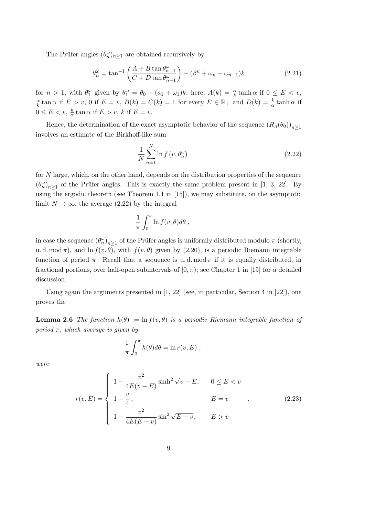The Prüfer angles  $(\theta_n^{\omega})_{n\geq 1}$  are obtained recursively by

$$
\theta_n^{\omega} = \tan^{-1} \left( \frac{A + B \tan \theta_{n-1}^{\omega}}{C + D \tan \theta_{n-1}^{\omega}} \right) - (\beta^n + \omega_n - \omega_{n-1})k \tag{2.21}
$$

for  $n > 1$ , with  $\theta_1^{\omega}$  given by  $\theta_1^{\omega} = \theta_0 - (a_1 + \omega_1)k$ ; here,  $A(k) = \frac{\alpha}{k} \tanh \alpha$  if  $0 \le E < v$ , α  $\frac{\alpha}{k}$  tan  $\alpha$  if  $E > v$ , 0 if  $E = v$ ,  $B(k) = C(k) = 1$  for every  $E \in \mathbb{R}_+$  and  $D(k) = \frac{k}{\alpha}$  tanh  $\alpha$  if  $0 \leq E < v, \frac{k}{\alpha}$  $\frac{k}{\alpha}$  tan  $\alpha$  if  $E > v$ , k if  $E = v$ .

Hence, the determination of the exact asymptotic behavior of the sequence  $(R_n(\theta_0))_{n>1}$ involves an estimate of the Birkhoff-like sum

$$
\frac{1}{N} \sum_{n=1}^{N} \ln f\left(v, \theta_n^{\omega}\right) \tag{2.22}
$$

for N large, which, on the other hand, depends on the distribution properties of the sequence  $(\theta_n^{\omega})_{n\geq 1}$  of the Prüfer angles. This is exactly the same problem present in [1, 3, 22]. By using the ergodic theorem (see Theorem 1.1 in [15]), we may substitute, on the asymptotic limit  $N \to \infty$ , the average (2.22) by the integral

$$
\frac{1}{\pi} \int_0^{\pi} \ln f(v,\theta) d\theta ,
$$

in case the sequence  $(\theta_n^{\omega})_{n\geq 1}$  of the Prüfer angles is uniformly distributed modulo  $\pi$  (shortly, u. d. mod  $\pi$ ), and ln  $f(v, \theta)$ , with  $f(v, \theta)$  given by (2.20), is a periodic Riemann integrable function of period  $\pi$ . Recall that a sequence is u.d. mod  $\pi$  if it is equally distributed, in fractional portions, over half-open subintervals of  $(0, \pi)$ ; see Chapter 1 in [15] for a detailed discussion.

Using again the arguments presented in  $[1, 22]$  (see, in particular, Section 4 in  $[22]$ ), one proves the

**Lemma 2.6** The function  $h(\theta) := \ln f(v, \theta)$  is a periodic Riemann integrable function of period  $\pi$ , which average is given by

$$
\frac{1}{\pi} \int_0^{\pi} h(\theta) d\theta = \ln r(v, E) ,
$$

were

$$
r(v, E) = \begin{cases} 1 + \frac{v^2}{4E(v - E)} \sinh^2 \sqrt{v - E}, & 0 \le E < v \\ 1 + \frac{v}{4}, & E = v \\ 1 + \frac{v^2}{4E(E - v)} \sin^2 \sqrt{E - v}, & E > v \end{cases}
$$
(2.23)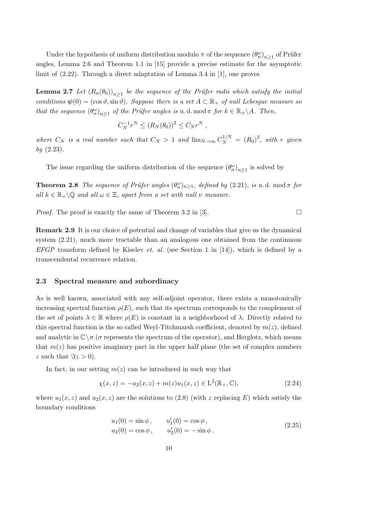Under the hypothesis of uniform distribution modulo  $\pi$  of the sequence  $(\theta_n^{\omega})_{n\geq 1}$  of Prüfer angles, Lemma 2.6 and Theorem 1.1 in [15] provide a precise estimate for the asymptotic limit of (2.22). Through a direct adaptation of Lemma 3.4 in [1], one proves

**Lemma 2.7** Let  $(R_n(\theta_0))_{n\geq 1}$  be the sequence of the Prüfer radii which satisfy the initial conditions  $\psi(0) = (\cos \vartheta, \sin \vartheta)$ . Suppose there is a set  $A \subset \mathbb{R}_+$  of null Lebesgue measure so that the sequence  $(\theta_n^{\omega})_{n\geq 1}$  of the Prüfer angles is u.d. mod  $\pi$  for  $k \in \mathbb{R}_+\backslash A$ . Then,

$$
C_N^{-1}r^N \le (R_N(\theta_0))^2 \le C_N r^N ,
$$

where  $C_N$  is a real number such that  $C_N > 1$  and  $\lim_{N \to \infty} C_N^{1/N} = (R_0)^2$ , with r given  $by (2.23).$ 

The issue regarding the uniform distribution of the sequence  $(\theta_n^{\omega})_{n\geq 1}$  is solved by

**Theorem 2.8** The sequence of Prüfer angles  $(\theta_n^{\omega})_{n\geq 1}$ , defined by (2.21), is u.d. mod  $\pi$  for all  $k \in \mathbb{R}_+ \setminus \mathbb{Q}$  and all  $\omega \in \Xi$ , apart from a set with null  $\nu$  measure.

*Proof.* The proof is exactly the same of Theorem 3.2 in [3].

Remark 2.9 It is our choice of potential and change of variables that give us the dynamical system (2.21), much more tractable than an analogous one obtained from the continuous EFGP transform defined by Kiselev *et. al.* (see Section 1 in [14]), which is defined by a transcendental recurrence relation.

### 2.3 Spectral measure and subordinacy

As is well known, associated with any self-adjoint operator, there exists a monotonically increasing spectral function  $\rho(E)$ , such that its spectrum corresponds to the complement of the set of points  $\lambda \in \mathbb{R}$  where  $\rho(E)$  is constant in a neighborhood of  $\lambda$ . Directly related to this spectral function is the so called Weyl-Titchmarsh coefficient, denoted by  $m(z)$ , defined and analytic in  $\mathbb{C}\setminus\sigma$  ( $\sigma$  represents the spectrum of the operator), and Herglotz, which means that  $m(z)$  has positive imaginary part in the upper half plane (the set of complex numbers z such that  $\Im z > 0$ .

In fact, in our setting  $m(z)$  can be introduced in such way that

$$
\chi(x, z) = -u_2(x, z) + m(z)u_1(x, z) \in \mathcal{L}^2(\mathbb{R}_+, \mathbb{C}),\tag{2.24}
$$

where  $u_1(x, z)$  and  $u_2(x, z)$  are the solutions to (2.8) (with z replacing E) which satisfy the boundary conditions

$$
u_1(0) = \sin \phi,
$$
  $u'_1(0) = \cos \phi,$   
\n $u_2(0) = \cos \phi,$   $u'_2(0) = -\sin \phi.$  (2.25)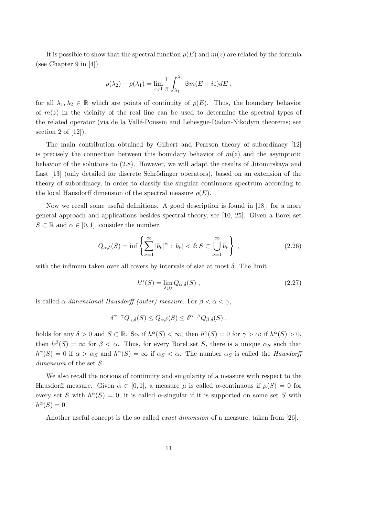It is possible to show that the spectral function  $\rho(E)$  and  $m(z)$  are related by the formula (see Chapter 9 in [4])

$$
\rho(\lambda_2) - \rho(\lambda_1) = \lim_{\varepsilon \downarrow 0} \frac{1}{\pi} \int_{\lambda_1}^{\lambda_2} \Im m(E + i\varepsilon) dE ,
$$

for all  $\lambda_1, \lambda_2 \in \mathbb{R}$  which are points of continuity of  $\rho(E)$ . Thus, the boundary behavior of  $m(z)$  in the vicinity of the real line can be used to determine the spectral types of the related operator (via de la Vallé-Poussin and Lebesgue-Radon-Nikodym theorems; see section 2 of  $[12]$ ).

The main contribution obtained by Gilbert and Pearson theory of subordinacy [12] is precisely the connection between this boundary behavior of  $m(z)$  and the asymptotic behavior of the solutions to (2.8). However, we will adapt the results of Jitomirskaya and Last [13] (only detailed for discrete Schrödinger operators), based on an extension of the theory of subordinacy, in order to classify the singular continuous spectrum according to the local Hausdorff dimension of the spectral measure  $\rho(E)$ .

Now we recall some useful definitions. A good description is found in [18]; for a more general approach and applications besides spectral theory, see [10, 25]. Given a Borel set  $S \subset \mathbb{R}$  and  $\alpha \in [0, 1]$ , consider the number

$$
Q_{\alpha,\delta}(S) = \inf \left\{ \sum_{\nu=1}^{\infty} |b_{\nu}|^{\alpha} : |b_{\nu}| < \delta; S \subset \bigcup_{\nu=1}^{\infty} b_{\nu} \right\},
$$
\n(2.26)

with the infimum taken over all covers by intervals of size at most  $\delta$ . The limit

$$
h^{\alpha}(S) = \lim_{\delta \downarrow 0} Q_{\alpha,\delta}(S) , \qquad (2.27)
$$

is called  $\alpha$ -dimensional Hausdorff (outer) measure. For  $\beta < \alpha < \gamma$ ,

$$
\delta^{\alpha-\gamma} Q_{\gamma,\delta}(S) \leq Q_{\alpha,\delta}(S) \leq \delta^{\alpha-\beta} Q_{\beta,\delta}(S) ,
$$

holds for any  $\delta > 0$  and  $S \subset \mathbb{R}$ . So, if  $h^{\alpha}(S) < \infty$ , then  $h^{\gamma}(S) = 0$  for  $\gamma > \alpha$ ; if  $h^{\alpha}(S) > 0$ , then  $h^{\beta}(S) = \infty$  for  $\beta < \alpha$ . Thus, for every Borel set S, there is a unique  $\alpha_S$  such that  $h^{\alpha}(S) = 0$  if  $\alpha > \alpha_S$  and  $h^{\alpha}(S) = \infty$  if  $\alpha_S < \alpha$ . The number  $\alpha_S$  is called the *Hausdorff* dimension of the set  $S$ .

We also recall the notions of continuity and singularity of a measure with respect to the Hausdorff measure. Given  $\alpha \in [0,1]$ , a measure  $\mu$  is called  $\alpha$ -continuous if  $\mu(S) = 0$  for every set S with  $h^{\alpha}(S) = 0$ ; it is called  $\alpha$ -singular if it is supported on some set S with  $h^{\alpha}(S) = 0.$ 

Another useful concept is the so called *exact dimension* of a measure, taken from [26].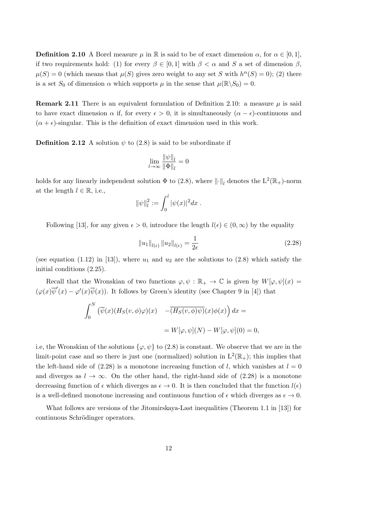**Definition 2.10** A Borel measure  $\mu$  in R is said to be of exact dimension  $\alpha$ , for  $\alpha \in [0, 1]$ , if two requirements hold: (1) for every  $\beta \in [0,1]$  with  $\beta < \alpha$  and S a set of dimension  $\beta$ ,  $\mu(S) = 0$  (which means that  $\mu(S)$  gives zero weight to any set S with  $h^{\alpha}(S) = 0$ ); (2) there is a set  $S_0$  of dimension  $\alpha$  which supports  $\mu$  in the sense that  $\mu(\mathbb{R}\setminus S_0) = 0$ .

**Remark 2.11** There is an equivalent formulation of Definition 2.10: a measure  $\mu$  is said to have exact dimension  $\alpha$  if, for every  $\epsilon > 0$ , it is simultaneously  $(\alpha - \epsilon)$ -continuous and  $(\alpha + \epsilon)$ -singular. This is the definition of exact dimension used in this work.

**Definition 2.12** A solution  $\psi$  to (2.8) is said to be subordinate if

$$
\lim_{l \to \infty} \frac{\|\psi\|_l}{\|\Phi\|_l} = 0
$$

holds for any linearly independent solution  $\Phi$  to (2.8), where  $\lVert \cdot \rVert_l$  denotes the  $\mathrm{L}^2(\mathbb{R}_+)$ -norm at the length  $l \in \mathbb{R}$ , i.e.,

$$
\|\psi\|_{l}^{2} := \int_{0}^{l} |\psi(x)|^{2} dx.
$$

Following [13], for any given  $\epsilon > 0$ , introduce the length  $l(\epsilon) \in (0,\infty)$  by the equality

$$
||u_1||_{l(\epsilon)} ||u_2||_{l(\epsilon)} = \frac{1}{2\epsilon}
$$
\n(2.28)

(see equation (1.12) in [13]), where  $u_1$  and  $u_2$  are the solutions to (2.8) which satisfy the initial conditions (2.25).

Recall that the Wronskian of two functions  $\varphi, \psi : \mathbb{R}_+ \to \mathbb{C}$  is given by  $W[\varphi, \psi](x) =$  $(\varphi(x)\overline{\psi}'(x) - \varphi'(x)\overline{\psi}(x))$ . It follows by Green's identity (see Chapter 9 in [4]) that

$$
\int_0^N \left( \overline{\psi}(x) (H_S(v, \phi) \varphi)(x) - \overline{(H_S(v, \phi)\psi)}(x) \phi(x) \right) dx =
$$
  
=  $W[\varphi, \psi](N) - W[\varphi, \psi](0) = 0,$ 

i.e, the Wronskian of the solutions  $\{\varphi, \psi\}$  to (2.8) is constant. We observe that we are in the limit-point case and so there is just one (normalized) solution in  $L^2(\mathbb{R}_+)$ ; this implies that the left-hand side of  $(2.28)$  is a monotone increasing function of l, which vanishes at  $l = 0$ and diverges as  $l \to \infty$ . On the other hand, the right-hand side of (2.28) is a monotone decreasing function of  $\epsilon$  which diverges as  $\epsilon \to 0$ . It is then concluded that the function  $l(\epsilon)$ is a well-defined monotone increasing and continuous function of  $\epsilon$  which diverges as  $\epsilon \to 0$ .

What follows are versions of the Jitomirskaya-Last inequalities (Theorem 1.1 in [13]) for continuous Schrödinger operators.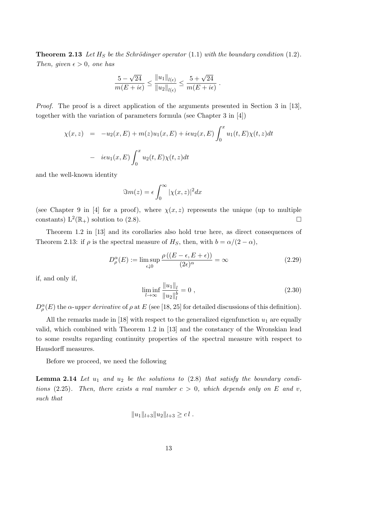**Theorem 2.13** Let  $H_S$  be the Schrödinger operator (1.1) with the boundary condition (1.2). Then, given  $\epsilon > 0$ , one has

$$
\frac{5-\sqrt{24}}{m(E+i\epsilon)} \le \frac{||u_1||_{l(\epsilon)}}{||u_2||_{l(\epsilon)}} \le \frac{5+\sqrt{24}}{m(E+i\epsilon)}
$$

Proof. The proof is a direct application of the arguments presented in Section 3 in [13], together with the variation of parameters formula (see Chapter 3 in [4])

$$
\chi(x, z) = -u_2(x, E) + m(z)u_1(x, E) + i\epsilon u_2(x, E) \int_0^x u_1(t, E)\chi(t, z)dt
$$
  
-  $i\epsilon u_1(x, E) \int_0^x u_2(t, E)\chi(t, z)dt$ 

and the well-known identity

$$
\Im m(z) = \epsilon \int_0^\infty |\chi(x, z)|^2 dx
$$

(see Chapter 9 in [4] for a proof), where  $\chi(x, z)$  represents the unique (up to multiple constants)  $L^2(\mathbb{R}_+)$  solution to (2.8).

Theorem 1.2 in [13] and its corollaries also hold true here, as direct consequences of Theorem 2.13: if  $\rho$  is the spectral measure of H<sub>S</sub>, then, with  $b = \alpha/(2 - \alpha)$ ,

$$
D_{\rho}^{\alpha}(E) := \limsup_{\epsilon \downarrow 0} \frac{\rho\left((E - \epsilon, E + \epsilon)\right)}{(2\epsilon)^{\alpha}} = \infty \tag{2.29}
$$

if, and only if,

$$
\liminf_{l \to \infty} \frac{\|u_1\|_l}{\|u_2\|_l^b} = 0 \tag{2.30}
$$

.

 $D_{\rho}^{\alpha}(E)$  the  $\alpha$ -upper derivative of  $\rho$  at E (see [18, 25] for detailed discussions of this definition).

All the remarks made in [18] with respect to the generalized eigenfunction  $u_1$  are equally valid, which combined with Theorem 1.2 in [13] and the constancy of the Wronskian lead to some results regarding continuity properties of the spectral measure with respect to Hausdorff measures.

Before we proceed, we need the following

**Lemma 2.14** Let  $u_1$  and  $u_2$  be the solutions to (2.8) that satisfy the boundary conditions (2.25). Then, there exists a real number  $c > 0$ , which depends only on E and v, such that

$$
||u_1||_{l+3}||u_2||_{l+3} \geq c l.
$$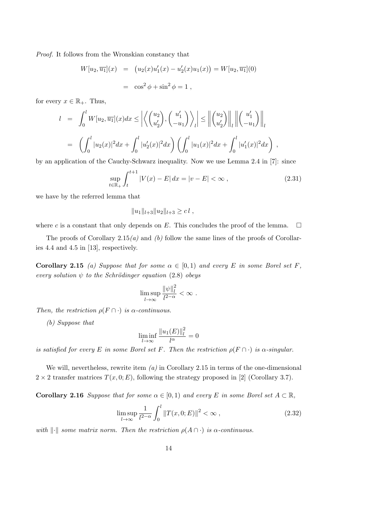Proof. It follows from the Wronskian constancy that

$$
W[u_2, \overline{u_1}](x) = (u_2(x)u'_1(x) - u'_2(x)u_1(x)) = W[u_2, \overline{u_1}](0)
$$
  
=  $\cos^2 \phi + \sin^2 \phi = 1$ ,

for every  $x \in \mathbb{R}_+$ . Thus,

$$
l = \int_0^l W[u_2, \overline{u_1}](x) dx \le \left| \left\langle \begin{pmatrix} u_2 \\ u_2' \end{pmatrix}, \begin{pmatrix} u_1' \\ -u_1 \end{pmatrix} \right\rangle_l \right| \le \left\| \begin{pmatrix} u_2 \\ u_2' \end{pmatrix} \right\|_l \left\| \begin{pmatrix} u_1' \\ -u_1 \end{pmatrix} \right\|_l
$$
  
= 
$$
\left( \int_0^l |u_2(x)|^2 dx + \int_0^l |u_2'(x)|^2 dx \right) \left( \int_0^l |u_1(x)|^2 dx + \int_0^l |u_1'(x)|^2 dx \right),
$$

by an application of the Cauchy-Schwarz inequality. Now we use Lemma 2.4 in [7]: since

$$
\sup_{t \in \mathbb{R}_+} \int_t^{t+1} |V(x) - E| \, dx = |v - E| < \infty \,, \tag{2.31}
$$

we have by the referred lemma that

$$
||u_1||_{l+3}||u_2||_{l+3} \geq c l,
$$

where c is a constant that only depends on E. This concludes the proof of the lemma.  $\square$ 

The proofs of Corollary 2.15(a) and (b) follow the same lines of the proofs of Corollaries 4.4 and 4.5 in [13], respectively.

**Corollary 2.15** (a) Suppose that for some  $\alpha \in [0,1)$  and every E in some Borel set F, every solution  $\psi$  to the Schrödinger equation (2.8) obeys

$$
\limsup_{l\to\infty}\frac{\|\psi\|_l^2}{l^{2-\alpha}}<\infty.
$$

Then, the restriction  $\rho(F \cap \cdot)$  is  $\alpha$ -continuous.

(b) Suppose that

$$
\liminf_{l \to \infty} \frac{\|u_1(E)\|_l^2}{l^{\alpha}} = 0
$$

is satisfied for every E in some Borel set F. Then the restriction  $\rho(F \cap \cdot)$  is  $\alpha$ -singular.

We will, nevertheless, rewrite item  $(a)$  in Corollary 2.15 in terms of the one-dimensional  $2 \times 2$  transfer matrices  $T(x, 0; E)$ , following the strategy proposed in [2] (Corollary 3.7).

**Corollary 2.16** Suppose that for some  $\alpha \in [0,1)$  and every E in some Borel set  $A \subset \mathbb{R}$ ,

$$
\limsup_{l \to \infty} \frac{1}{l^{2-\alpha}} \int_0^l \|T(x, 0; E)\|^2 < \infty \,, \tag{2.32}
$$

with  $\lVert \cdot \rVert$  some matrix norm. Then the restriction  $\rho(A \cap \cdot)$  is  $\alpha$ -continuous.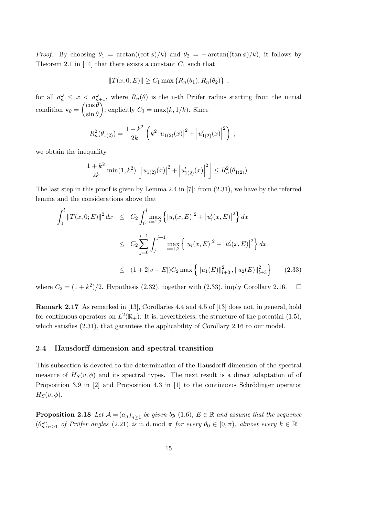*Proof.* By choosing  $\theta_1 = \arctan((\cot \phi)/k)$  and  $\theta_2 = -\arctan((\tan \phi)/k)$ , it follows by Theorem 2.1 in [14] that there exists a constant  $C_1$  such that

$$
||T(x,0;E)|| \ge C_1 \max \{ R_n(\theta_1), R_n(\theta_2) \},
$$

for all  $a_n^{\omega} \leq x < a_{n+1}^{\omega}$ , where  $R_n(\theta)$  is the n-th Prüfer radius starting from the initial condition  $\mathbf{v}_{\theta} = \begin{pmatrix} \cos \theta \\ \sin \theta \end{pmatrix}$  $\sin \theta$ ); explicitly  $C_1 = \max(k, 1/k)$ . Since

$$
R_n^2(\theta_{1(2)}) = \frac{1+k^2}{2k} \left( k^2 |u_{1(2)}(x)|^2 + |u'_{1(2)}(x)|^2 \right) ,
$$

we obtain the inequality

$$
\frac{1+k^2}{2k}\min(1,k^2)\left[|u_{1(2)}(x)|^2 + |u'_{1(2)}(x)|^2\right] \le R_n^2(\theta_{1(2)})\;.
$$

The last step in this proof is given by Lemma 2.4 in [7]: from (2.31), we have by the referred lemma and the considerations above that

$$
\int_0^l ||T(x,0;E)||^2 dx \le C_2 \int_0^l \max_{i=1,2} \left\{ |u_i(x,E)|^2 + |u'_i(x,E)|^2 \right\} dx
$$
  

$$
\le C_2 \sum_{j=0}^{l-1} \int_j^{j+1} \max_{i=1,2} \left\{ |u_i(x,E)|^2 + |u'_i(x,E)|^2 \right\} dx
$$
  

$$
\le (1+2|v-E|)C_2 \max \left\{ ||u_1(E)||_{l+3}^2, ||u_2(E)||_{l+3}^2 \right\}
$$
 (2.33)

where  $C_2 = (1 + k^2)/2$ . Hypothesis (2.32), together with (2.33), imply Corollary 2.16.  $\Box$ 

Remark 2.17 As remarked in [13], Corollaries 4.4 and 4.5 of [13] does not, in general, hold for continuous operators on  $L^2(\mathbb{R}_+)$ . It is, nevertheless, the structure of the potential (1.5), which satisfies  $(2.31)$ , that garantees the applicability of Corollary 2.16 to our model.

### 2.4 Hausdorff dimension and spectral transition

This subsection is devoted to the determination of the Hausdorff dimension of the spectral measure of  $H_S(v, \phi)$  and its spectral types. The next result is a direct adaptation of of Proposition 3.9 in  $[2]$  and Proposition 4.3 in  $[1]$  to the continuous Schrödinger operator  $H_S(v, \phi)$ .

**Proposition 2.18** Let  $\mathcal{A} = (a_n)_{n \geq 1}$  be given by (1.6),  $E \in \mathbb{R}$  and assume that the sequence  $(\theta_n^{\omega})_{n\geq 1}$  of Prüfer angles (2.21) is u.d. mod  $\pi$  for every  $\theta_0 \in [0, \pi)$ , almost every  $k \in \mathbb{R}_+$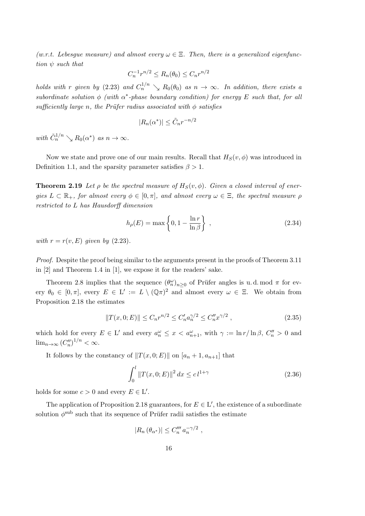(w.r.t. Lebesque measure) and almost every  $\omega \in \Xi$ . Then, there is a generalized eigenfunction  $\psi$  such that

$$
C_n^{-1}r^{n/2} \le R_n(\theta_0) \le C_n r^{n/2}
$$

holds with r given by (2.23) and  $C_n^{1/n} \searrow R_0(\theta_0)$  as  $n \to \infty$ . In addition, there exists a subordinate solution  $\phi$  (with  $\alpha^*$ -phase boundary condition) for energy E such that, for all sufficiently large n, the Prüfer radius associated with  $\phi$  satisfies

$$
|R_n(\alpha^*)| \leq \tilde{C}_n r^{-n/2}
$$

with  $\tilde{C}_n^{1/n} \searrow R_0(\alpha^*)$  as  $n \to \infty$ .

Now we state and prove one of our main results. Recall that  $H_S(v, \phi)$  was introduced in Definition 1.1, and the sparsity parameter satisfies  $\beta > 1$ .

**Theorem 2.19** Let  $\rho$  be the spectral measure of  $H_S(v, \phi)$ . Given a closed interval of energies  $L \subset \mathbb{R}_+$ , for almost every  $\phi \in [0, \pi]$ , and almost every  $\omega \in \Xi$ , the spectral measure  $\rho$ restricted to L has Hausdorff dimension

$$
h_{\rho}(E) = \max\left\{0, 1 - \frac{\ln r}{\ln \beta}\right\},\qquad(2.34)
$$

with  $r = r(v, E)$  given by (2.23).

Proof. Despite the proof being similar to the arguments present in the proofs of Theorem 3.11 in [2] and Theorem 1.4 in [1], we expose it for the readers' sake.

Theorem 2.8 implies that the sequence  $(\theta_n^{\omega})_{n\geq 0}$  of Prüfer angles is u.d. mod  $\pi$  for every  $\theta_0 \in [0, \pi]$ , every  $E \in L' := L \setminus (\mathbb{Q}\pi)^2$  and almost every  $\omega \in \Xi$ . We obtain from Proposition 2.18 the estimates

$$
||T(x,0;E)|| \le C_n r^{n/2} \le C'_n a_n^{\gamma/2} \le C''_n x^{\gamma/2}, \qquad (2.35)
$$

which hold for every  $E \in L'$  and every  $a_n^{\omega} \leq x < a_{n+1}^{\omega}$ , with  $\gamma := \ln r / \ln \beta$ ,  $C_n^{\prime\prime} > 0$  and  $\lim_{n\to\infty} (C''_n)^{1/n} < \infty.$ 

It follows by the constancy of  $||T(x, 0; E)||$  on  $[a_n + 1, a_{n+1}]$  that

$$
\int_0^l \|T(x, 0; E)\|^2 dx \le c \, l^{1+\gamma} \tag{2.36}
$$

holds for some  $c > 0$  and every  $E \in L'$ .

The application of Proposition 2.18 guarantees, for  $E \in L'$ , the existence of a subordinate solution  $\phi^{\text{sub}}$  such that its sequence of Prüfer radii satisfies the estimate

$$
|R_n(\theta_{\alpha^*})| \leq C_n''' a_n^{-\gamma/2} ,
$$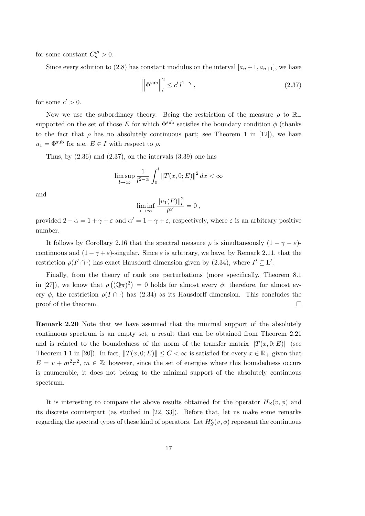for some constant  $C_n''' > 0$ .

Since every solution to (2.8) has constant modulus on the interval  $[a_n+1, a_{n+1}]$ , we have

$$
\left\|\Phi^{\text{sub}}\right\|_{l}^{2} \le c' \, l^{1-\gamma} \,,\tag{2.37}
$$

for some  $c' > 0$ .

Now we use the subordinacy theory. Being the restriction of the measure  $\rho$  to  $\mathbb{R}_+$ supported on the set of those E for which  $\Phi^{\text{sub}}$  satisfies the boundary condition  $\phi$  (thanks to the fact that  $\rho$  has no absolutely continuous part; see Theorem 1 in [12]), we have  $u_1 = \Phi^{\text{sub}}$  for a.e.  $E \in I$  with respect to  $\rho$ .

Thus, by  $(2.36)$  and  $(2.37)$ , on the intervals  $(3.39)$  one has

$$
\limsup_{l\to\infty}\frac{1}{l^{2-\alpha}}\int_0^l\|T(x,0;E)\|^2\,dx<\infty
$$

and

$$
\liminf_{l \to \infty} \frac{\|u_1(E)\|_l^2}{l^{\alpha'}} = 0,
$$

provided  $2 - \alpha = 1 + \gamma + \varepsilon$  and  $\alpha' = 1 - \gamma + \varepsilon$ , respectively, where  $\varepsilon$  is an arbitrary positive number.

It follows by Corollary 2.16 that the spectral measure  $\rho$  is simultaneously  $(1 - \gamma - \varepsilon)$ continuous and  $(1 - \gamma + \varepsilon)$ -singular. Since  $\varepsilon$  is arbitrary, we have, by Remark 2.11, that the restriction  $\rho(I' \cap \cdot)$  has exact Hausdorff dimension given by (2.34), where  $I' \subseteq L'$ .

Finally, from the theory of rank one perturbations (more specifically, Theorem 8.1 in [27]), we know that  $\rho((\mathbb{Q}\pi)^2) = 0$  holds for almost every  $\phi$ ; therefore, for almost every  $\phi$ , the restriction  $\rho(I \cap \cdot)$  has (2.34) as its Hausdorff dimension. This concludes the proof of the theorem.  $\Box$ 

Remark 2.20 Note that we have assumed that the minimal support of the absolutely continuous spectrum is an empty set, a result that can be obtained from Theorem 2.21 and is related to the boundedness of the norm of the transfer matrix  $||T(x, 0; E)||$  (see Theorem 1.1 in [20]). In fact,  $||T(x, 0; E)|| \leq C < \infty$  is satisfied for every  $x \in \mathbb{R}_+$  given that  $E = v + m^2 \pi^2$ ,  $m \in \mathbb{Z}$ ; however, since the set of energies where this boundedness occurs is enumerable, it does not belong to the minimal support of the absolutely continuous spectrum.

It is interesting to compare the above results obtained for the operator  $H_S(v, \phi)$  and its discrete counterpart (as studied in [22, 33]). Before that, let us make some remarks regarding the spectral types of these kind of operators. Let  $H_S^c(v, \phi)$  represent the continuous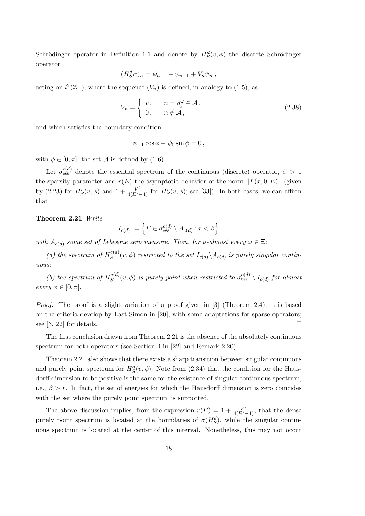Schrödinger operator in Definition 1.1 and denote by  $H_S^d(v, \phi)$  the discrete Schrödinger operator

$$
(H_S^d \psi)_n = \psi_{n+1} + \psi_{n-1} + V_n \psi_n ,
$$

acting on  $l^2(\mathbb{Z}_+)$ , where the sequence  $(V_n)$  is defined, in analogy to (1.5), as

$$
V_n = \begin{cases} v, & n = a_j^{\omega} \in \mathcal{A}, \\ 0, & n \notin \mathcal{A}, \end{cases}
$$
 (2.38)

and which satisfies the boundary condition

$$
\psi_{-1}\cos\phi - \psi_0\sin\phi = 0,
$$

with  $\phi \in [0, \pi]$ ; the set A is defined by (1.6).

Let  $\sigma_{\text{ess}}^{c(d)}$  denote the essential spectrum of the continuous (discrete) operator,  $\beta > 1$ the sparsity parameter and  $r(E)$  the asymptotic behavior of the norm  $||T(x, 0; E)||$  (given by (2.23) for  $H_S^c(v, \phi)$  and  $1 + \frac{V^2}{4(E^2-4)}$  for  $H_S^c(v, \phi)$ ; see [33]). In both cases, we can affirm that

### Theorem 2.21 Write

$$
I_{c(d)} := \left\{ E \in \sigma_{\mathrm{ess}}^{c(d)} \setminus A_{c(d)} : r < \beta \right\}
$$

with  $A_{c(d)}$  some set of Lebesgue zero measure. Then, for v-almost every  $\omega \in \Xi$ :

(a) the spectrum of  $H_S^{c(d)}$  $S^{(a)}(v, \phi)$  restricted to the set  $I_{c(d)} \backslash A_{c(d)}$  is purely singular continuous;

(b) the spectrum of  $H_S^{c(d)}$  $S^{(d)}_S(v,\phi)$  is purely point when restricted to  $\sigma^{c(d)}_{\mathrm{ess}} \setminus I_{c(d)}$  for almost every  $\phi \in [0, \pi]$ .

Proof. The proof is a slight variation of a proof given in [3] (Theorem 2.4); it is based on the criteria develop by Last-Simon in [20], with some adaptations for sparse operators; see [3, 22] for details.  $\square$ 

The first conclusion drawn from Theorem 2.21 is the absence of the absolutely continuous spectrum for both operators (see Section 4 in [22] and Remark 2.20).

Theorem 2.21 also shows that there exists a sharp transition between singular continuous and purely point spectrum for  $H_S^d(v, \phi)$ . Note from (2.34) that the condition for the Hausdorff dimension to be positive is the same for the existence of singular continuous spectrum, i.e.,  $\beta > r$ . In fact, the set of energies for which the Hausdorff dimension is zero coincides with the set where the purely point spectrum is supported.

The above discussion implies, from the expression  $r(E) = 1 + \frac{V^2}{4(E^2-4)}$ , that the dense purely point spectrum is located at the boundaries of  $\sigma(H_S^d)$ , while the singular continuous spectrum is located at the center of this interval. Nonetheless, this may not occur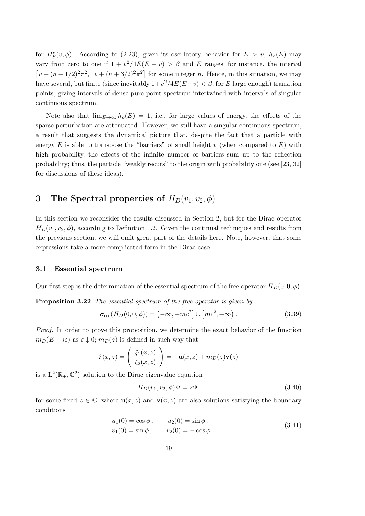for  $H_S^c(v, \phi)$ . According to (2.23), given its oscillatory behavior for  $E > v$ ,  $h_\rho(E)$  may vary from zero to one if  $1 + v^2/4E(E - v) > \beta$  and E ranges, for instance, the interval  $\left[ v + (n+1/2)^2 \pi^2, v + (n+3/2)^2 \pi^2 \right]$  for some integer *n*. Hence, in this situation, we may have several, but finite (since inevitably  $1+v^2/4E(E-v) < \beta$ , for E large enough) transition points, giving intervals of dense pure point spectrum intertwined with intervals of singular continuous spectrum.

Note also that  $\lim_{E\to\infty} h_{\rho}(E) = 1$ , i.e., for large values of energy, the effects of the sparse perturbation are attenuated. However, we still have a singular continuous spectrum, a result that suggests the dynamical picture that, despite the fact that a particle with energy  $E$  is able to transpose the "barriers" of small height v (when compared to  $E$ ) with high probability, the effects of the infinite number of barriers sum up to the reflection probability; thus, the particle "weakly recurs" to the origin with probability one (see [23, 32] for discussions of these ideas).

# 3 The Spectral properties of  $H_D(v_1, v_2, \phi)$

In this section we reconsider the results discussed in Section 2, but for the Dirac operator  $H_D(v_1, v_2, \phi)$ , according to Definition 1.2. Given the continual techniques and results from the previous section, we will omit great part of the details here. Note, however, that some expressions take a more complicated form in the Dirac case.

### 3.1 Essential spectrum

Our first step is the determination of the essential spectrum of the free operator  $H_D(0, 0, \phi)$ .

Proposition 3.22 The essential spectrum of the free operator is given by

$$
\sigma_{\rm ess}(H_D(0,0,\phi)) = (-\infty, -mc^2] \cup [mc^2, +\infty).
$$
\n(3.39)

Proof. In order to prove this proposition, we determine the exact behavior of the function  $m_D(E + i\varepsilon)$  as  $\varepsilon \downarrow 0$ ;  $m_D(z)$  is defined in such way that

$$
\xi(x,z) = \begin{pmatrix} \xi_1(x,z) \\ \xi_2(x,z) \end{pmatrix} = -\mathbf{u}(x,z) + m_D(z)\mathbf{v}(z)
$$

is a  $L^2(\mathbb{R}_+,\mathbb{C}^2)$  solution to the Dirac eigenvalue equation

$$
H_D(v_1, v_2, \phi)\Psi = z\Psi \tag{3.40}
$$

for some fixed  $z \in \mathbb{C}$ , where  $\mathbf{u}(x, z)$  and  $\mathbf{v}(x, z)$  are also solutions satisfying the boundary conditions

$$
u_1(0) = \cos \phi,
$$
  $u_2(0) = \sin \phi,$   
\n $v_1(0) = \sin \phi,$   $v_2(0) = -\cos \phi.$  (3.41)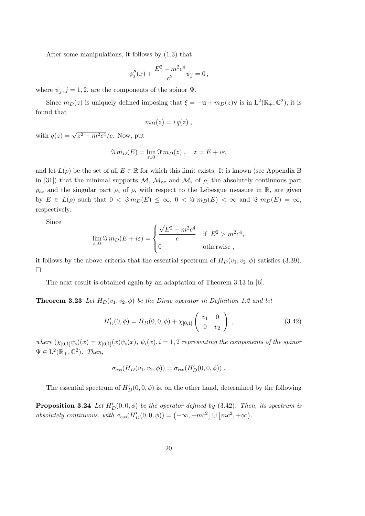After some manipulations, it follows by (1.3) that

$$
\psi''_j(x) + \frac{E^2 - m^2 c^4}{c^2} \psi_j = 0,
$$

where  $\psi_i$ ,  $j = 1, 2$ , are the components of the spinor  $\Psi$ .

Since  $m_D(z)$  is uniquely defined imposing that  $\xi = -\mathbf{u} + m_D(z)\mathbf{v}$  is in  $\mathbf{L}^2(\mathbb{R}_+,\mathbb{C}^2)$ , it is found that

$$
m_D(z) = i q(z) ,
$$

with  $q(z) = \sqrt{z^2 - m^2 c^4}/c$ . Now, put

$$
\Im m_D(E) = \lim_{\varepsilon \downarrow 0} \Im m_D(z) , \quad z = E + i\varepsilon,
$$

and let  $L(\rho)$  be the set of all  $E \in \mathbb{R}$  for which this limit exists. It is known (see Appendix B in [31]) that the minimal supports  $\mathcal{M}, \mathcal{M}_{ac}$  and  $\mathcal{M}_{s}$  of  $\rho$ , the absolutely continuous part  $\rho_{\rm ac}$  and the singular part  $\rho_{\rm s}$  of  $\rho$ , with respect to the Lebesgue measure in R, are given by  $E \in L(\rho)$  such that  $0 < \Im m_D(E) \leq \infty$ ,  $0 < \Im m_D(E) < \infty$  and  $\Im m_D(E) = \infty$ , respectively.

Since

$$
\lim_{\varepsilon \downarrow 0} \Im \, m_D(E + i\varepsilon) = \begin{cases} \frac{\sqrt{E^2 - m^2 c^4}}{c} & \text{if } E^2 > m^2 c^4, \\ 0 & \text{otherwise} \end{cases}
$$

it follows by the above criteria that the essential spectrum of  $H_D(v_1, v_2, \phi)$  satisfies (3.39).  $\Box$ 

The next result is obtained again by an adaptation of Theorem 3.13 in [6].

**Theorem 3.23** Let  $H_D(v_1, v_2, \phi)$  be the Dirac operator in Definition 1.2 and let

$$
H'_{D}(0, \phi) = H_{D}(0, 0, \phi) + \chi_{[0,1]} \begin{pmatrix} v_1 & 0 \\ 0 & v_2 \end{pmatrix}, \qquad (3.42)
$$

where  $(\chi_{[0,1]}\psi_i)(x) = \chi_{[0,1]}(x)\psi_i(x)$ ,  $\psi_i(x)$ ,  $i = 1, 2$  representing the components of the spinor  $\Psi \in L^2(\mathbb{R}_+, \mathbb{C}^2)$ . Then,

$$
\sigma_{\rm ess}(H_D(v_1,v_2,\phi)) = \sigma_{\rm ess}(H'_D(0,0,\phi)) .
$$

The essential spectrum of  $H_D'(0, 0, \phi)$  is, on the other hand, determined by the following

**Proposition 3.24** Let  $H_D'(0, 0, \phi)$  be the operator defined by (3.42). Then, its spectrum is absolutely continuous, with  $\sigma_{\text{ess}}(H'_D(0,0,\phi)) = (-\infty, -mc^2] \cup [mc^2, +\infty)$ .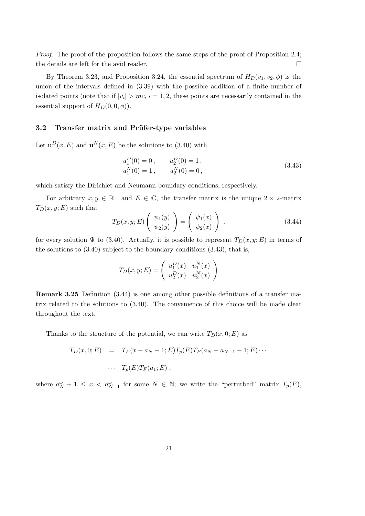Proof. The proof of the proposition follows the same steps of the proof of Proposition 2.4; the details are left for the avid reader.

By Theorem 3.23, and Proposition 3.24, the essential spectrum of  $H_D(v_1, v_2, \phi)$  is the union of the intervals defined in (3.39) with the possible addition of a finite number of isolated points (note that if  $|v_i| > mc$ ,  $i = 1, 2$ , these points are necessarily contained in the essential support of  $H_D(0, 0, \phi)$ .

### 3.2 Transfer matrix and Prüfer-type variables

Let  $\mathbf{u}^{D}(x,E)$  and  $\mathbf{u}^{N}(x,E)$  be the solutions to (3.40) with

$$
u_1^D(0) = 0, \t u_2^D(0) = 1,u_1^N(0) = 1, \t u_2^N(0) = 0,
$$
\t(3.43)

which satisfy the Dirichlet and Neumann boundary conditions, respectively.

For arbitrary  $x, y \in \mathbb{R}_+$  and  $E \in \mathbb{C}$ , the transfer matrix is the unique  $2 \times 2$ -matrix  $T_D(x, y; E)$  such that

$$
T_D(x, y; E) \begin{pmatrix} \psi_1(y) \\ \psi_2(y) \end{pmatrix} = \begin{pmatrix} \psi_1(x) \\ \psi_2(x) \end{pmatrix} , \qquad (3.44)
$$

for every solution  $\Psi$  to (3.40). Actually, it is possible to represent  $T_D(x, y; E)$  in terms of the solutions to  $(3.40)$  subject to the boundary conditions  $(3.43)$ , that is,

$$
T_D(x, y; E) = \begin{pmatrix} u_1^D(x) & u_1^N(x) \\ u_2^D(x) & u_2^N(x) \end{pmatrix}
$$

Remark 3.25 Definition (3.44) is one among other possible definitions of a transfer matrix related to the solutions to (3.40). The convenience of this choice will be made clear throughout the text.

Thanks to the structure of the potential, we can write  $T_D(x, 0; E)$  as

$$
T_D(x,0;E) = T_F(x-a_N-1;E)T_p(E)T_F(a_N-a_{N-1}-1;E)\cdots
$$

$$
\cdots T_p(E)T_F(a_1;E),
$$

where  $a_N^{\omega} + 1 \leq x < a_{N+1}^{\omega}$  for some  $N \in \mathbb{N}$ ; we write the "perturbed" matrix  $T_p(E)$ ,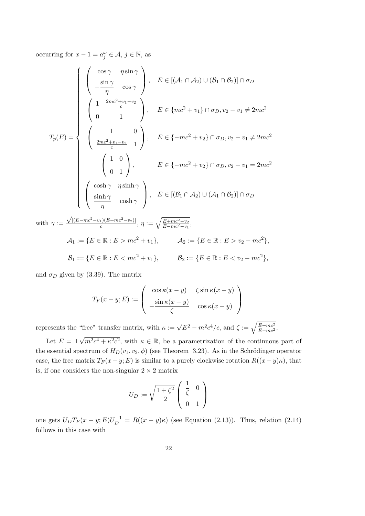occurring for  $x - 1 = a_j^{\omega} \in \mathcal{A}, j \in \mathbb{N}$ , as

$$
T_p(E) = \begin{cases} \begin{pmatrix} \cos \gamma & \eta \sin \gamma \\ -\frac{\sin \gamma}{\eta} & \cos \gamma \end{pmatrix}, & E \in [(A_1 \cap A_2) \cup (B_1 \cap B_2)] \cap \sigma_D \\ \begin{pmatrix} 1 & \frac{2mc^2+v_1-v_2}{c} \\ 0 & 1 \end{pmatrix}, & E \in \{mc^2+v_1\} \cap \sigma_D, v_2 - v_1 \neq 2mc^2 \end{cases}
$$
  

$$
T_p(E) = \begin{cases} \begin{pmatrix} 1 & 0 \\ \frac{2mc^2+v_1-v_2}{c} & 1 \end{pmatrix}, & E \in \{-mc^2+v_2\} \cap \sigma_D, v_2 - v_1 \neq 2mc^2 \end{cases}
$$
  

$$
\begin{pmatrix} 1 & 0 \\ 0 & 1 \end{pmatrix}, & E \in \{-mc^2+v_2\} \cap \sigma_D, v_2 - v_1 = 2mc^2 \end{cases}
$$
  
with  $\gamma := \frac{\sqrt{(E-mc^2-v_1)(E+mc^2-v_2)}}{c}$ ,  $\eta := \sqrt{\frac{E+mc^2-v_2}{E-mc^2-v_1}}$ ,  

$$
A_1 := \{E \in \mathbb{R} : E > mc^2 + v_1\}, & A_2 := \{E \in \mathbb{R} : E > v_2 - mc^2\},
$$
  

$$
B_1 := \{E \in \mathbb{R} : E < mc^2 + v_1\}, & B_2 := \{E \in \mathbb{R} : E < v_2 - mc^2\},
$$

and  $\sigma_D$  given by (3.39). The matrix

$$
T_F(x - y; E) := \begin{pmatrix} \cos \kappa (x - y) & \zeta \sin \kappa (x - y) \\ -\frac{\sin \kappa (x - y)}{\zeta} & \cos \kappa (x - y) \end{pmatrix}
$$

represents the "free" transfer matrix, with  $\kappa := \sqrt{E^2 - m^2 c^4}/c$ , and  $\zeta := \sqrt{\frac{E + mc^2}{E - mc^2}}$ . √

Let  $E = \pm$  $\sqrt{m^2c^4 + \kappa^2c^2}$ , with  $\kappa \in \mathbb{R}$ , be a parametrization of the continuous part of the essential spectrum of  $H_D(v_1, v_2, \phi)$  (see Theorem 3.23). As in the Schrödinger operator case, the free matrix  $T_F(x-y; E)$  is similar to a purely clockwise rotation  $R((x-y)\kappa)$ , that is, if one considers the non-singular  $2 \times 2$  matrix

$$
U_D := \sqrt{\frac{1+\zeta^2}{2}} \left( \begin{array}{cc} \frac{1}{\zeta} & 0 \\ 0 & 1 \end{array} \right)
$$

one gets  $U_D T_F(x-y; E) U_D^{-1} = R((x-y)\kappa)$  (see Equation (2.13)). Thus, relation (2.14) follows in this case with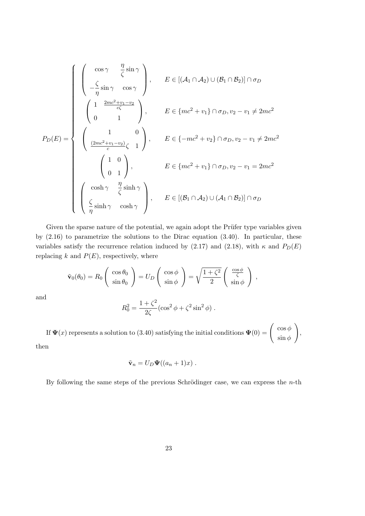$$
P_D(E) = \begin{cases} \begin{pmatrix} \cos \gamma & \frac{\eta}{\zeta} \sin \gamma \\ -\frac{\zeta}{\eta} \sin \gamma & \cos \gamma \end{pmatrix}, & E \in [(\mathcal{A}_1 \cap \mathcal{A}_2) \cup (\mathcal{B}_1 \cap \mathcal{B}_2)] \cap \sigma_D \\ \begin{pmatrix} 1 & \frac{2mc^2 + v_1 - v_2}{c\zeta} \\ 0 & 1 \end{pmatrix}, & E \in \{mc^2 + v_1\} \cap \sigma_D, v_2 - v_1 \neq 2mc^2 \end{cases}
$$

$$
P_D(E) = \begin{cases} \begin{pmatrix} 1 & 0 \\ \frac{(2mc^2 + v_1 - v_2)}{c} \zeta & 1 \end{pmatrix}, & E \in \{-mc^2 + v_2\} \cap \sigma_D, v_2 - v_1 \neq 2mc^2 \end{cases}
$$

$$
\begin{pmatrix} 1 & 0 \\ 0 & 1 \end{pmatrix}, & E \in \{mc^2 + v_1\} \cap \sigma_D, v_2 - v_1 = 2mc^2 \end{cases}
$$

$$
\begin{pmatrix} \cosh \gamma & \frac{\eta}{\zeta} \sinh \gamma \\ \frac{\zeta}{\eta} \sinh \gamma & \cosh \gamma \end{pmatrix}, E \in [(\mathcal{B}_1 \cap \mathcal{A}_2) \cup (\mathcal{A}_1 \cap \mathcal{B}_2)] \cap \sigma_D
$$

Given the sparse nature of the potential, we again adopt the Prüfer type variables given by (2.16) to parametrize the solutions to the Dirac equation (3.40). In particular, these variables satisfy the recurrence relation induced by (2.17) and (2.18), with  $\kappa$  and  $P_D(E)$ replacing  $k$  and  $P(E)$ , respectively, where

$$
\tilde{\mathbf{v}}_0(\theta_0) = R_0 \begin{pmatrix} \cos \theta_0 \\ \sin \theta_0 \end{pmatrix} = U_D \begin{pmatrix} \cos \phi \\ \sin \phi \end{pmatrix} = \sqrt{\frac{1 + \zeta^2}{2}} \begin{pmatrix} \frac{\cos \phi}{\zeta} \\ \sin \phi \end{pmatrix} ,
$$

and

$$
R_0^2 = \frac{1 + \zeta^2}{2\zeta} (\cos^2 \phi + \zeta^2 \sin^2 \phi) .
$$

If  $\Psi(x)$  represents a solution to (3.40) satisfying the initial conditions  $\Psi(0) = \begin{pmatrix} \cos \phi & \cdots & \cos \phi \\ \vdots & \ddots & \sin \phi \end{pmatrix}$  $\sin \phi$  $\setminus$ ,

then

$$
\tilde{\mathbf{v}}_n = U_D \mathbf{\Psi}((a_n + 1)x) .
$$

By following the same steps of the previous Schrödinger case, we can express the  $n$ -th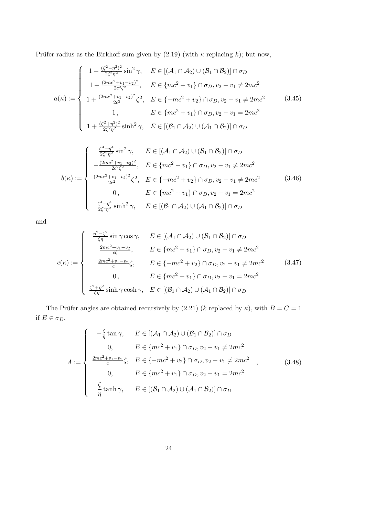Prüfer radius as the Birkhoff sum given by (2.19) (with  $\kappa$  replacing k); but now,

$$
a(\kappa) := \begin{cases} 1 + \frac{(\zeta^2 - \eta^2)^2}{2\zeta^2 \eta^2} \sin^2 \gamma, & E \in [(\mathcal{A}_1 \cap \mathcal{A}_2) \cup (\mathcal{B}_1 \cap \mathcal{B}_2)] \cap \sigma_D \\ 1 + \frac{(2mc^2 + v_1 - v_2)^2}{2c^2 \zeta^2}, & E \in \{mc^2 + v_1\} \cap \sigma_D, v_2 - v_1 \neq 2mc^2 \\ 1 + \frac{(2mc^2 + v_1 - v_2)^2}{2c^2} \zeta^2, & E \in \{-mc^2 + v_2\} \cap \sigma_D, v_2 - v_1 \neq 2mc^2 \\ 1, & E \in \{mc^2 + v_1\} \cap \sigma_D, v_2 - v_1 = 2mc^2 \\ 1 + \frac{(\zeta^2 + \eta^2)^2}{2\zeta^2 \eta^2} \sinh^2 \gamma, & E \in [(\mathcal{B}_1 \cap \mathcal{A}_2) \cup (\mathcal{A}_1 \cap \mathcal{B}_2)] \cap \sigma_D \end{cases}
$$
(3.45)

$$
b(\kappa) := \begin{cases} \frac{\zeta^4 - \eta^4}{2\zeta^2 \eta^2} \sin^2 \gamma, & E \in [(\mathcal{A}_1 \cap \mathcal{A}_2) \cup (\mathcal{B}_1 \cap \mathcal{B}_2)] \cap \sigma_D \\ -\frac{(2mc^2 + v_1 - v_2)^2}{2c^2 \zeta^2}, & E \in \{mc^2 + v_1\} \cap \sigma_D, v_2 - v_1 \neq 2mc^2 \\ \frac{(2mc^2 + v_1 - v_2)^2}{2c^2} \zeta^2, & E \in \{-mc^2 + v_2\} \cap \sigma_D, v_2 - v_1 \neq 2mc^2 \\ 0, & E \in \{mc^2 + v_1\} \cap \sigma_D, v_2 - v_1 = 2mc^2 \\ \frac{\zeta^4 - \eta^4}{2\zeta^2 \eta^2} \sinh^2 \gamma, & E \in [(\mathcal{B}_1 \cap \mathcal{A}_2) \cup (\mathcal{A}_1 \cap \mathcal{B}_2)] \cap \sigma_D \end{cases}
$$
(3.46)

and

$$
c(\kappa) := \begin{cases} \frac{\eta^2 - \zeta^2}{\zeta \eta} \sin \gamma \cos \gamma, & E \in [(\mathcal{A}_1 \cap \mathcal{A}_2) \cup (\mathcal{B}_1 \cap \mathcal{B}_2)] \cap \sigma_D \\ \frac{2mc^2 + v_1 - v_2}{c\zeta}, & E \in \{mc^2 + v_1\} \cap \sigma_D, v_2 - v_1 \neq 2mc^2 \\ \frac{2mc^2 + v_1 - v_2}{c} \zeta, & E \in \{-mc^2 + v_2\} \cap \sigma_D, v_2 - v_1 \neq 2mc^2 \\ 0, & E \in \{mc^2 + v_1\} \cap \sigma_D, v_2 - v_1 = 2mc^2 \\ \frac{\zeta^2 + \eta^2}{\zeta \eta} \sinh \gamma \cosh \gamma, & E \in [(\mathcal{B}_1 \cap \mathcal{A}_2) \cup (\mathcal{A}_1 \cap \mathcal{B}_2)] \cap \sigma_D \end{cases}
$$
(3.47)

The Prüfer angles are obtained recursively by (2.21) (k replaced by  $\kappa$ ), with  $B = C = 1$ if  $E \in \sigma_D$ ,

$$
A := \begin{cases}\n-\frac{\zeta}{\eta} \tan \gamma, & E \in [(\mathcal{A}_1 \cap \mathcal{A}_2) \cup (\mathcal{B}_1 \cap \mathcal{B}_2)] \cap \sigma_D \\
0, & E \in \{mc^2 + v_1\} \cap \sigma_D, v_2 - v_1 \neq 2mc^2 \\
\frac{2mc^2 + v_1 - v_2}{c} \zeta, & E \in \{-mc^2 + v_2\} \cap \sigma_D, v_2 - v_1 \neq 2mc^2 \\
0, & E \in \{mc^2 + v_1\} \cap \sigma_D, v_2 - v_1 = 2mc^2 \\
\frac{\zeta}{\eta} \tanh \gamma, & E \in [(\mathcal{B}_1 \cap \mathcal{A}_2) \cup (\mathcal{A}_1 \cap \mathcal{B}_2)] \cap \sigma_D\n\end{cases}
$$
\n(3.48)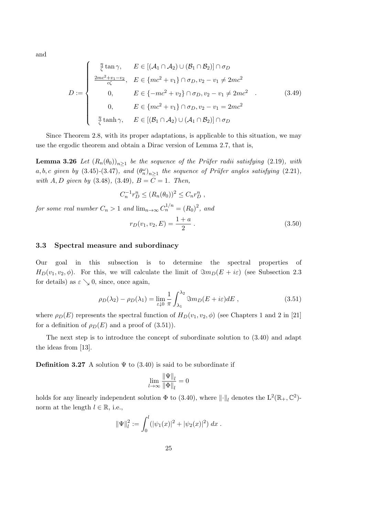and

$$
D := \begin{cases} \frac{\eta}{\zeta} \tan \gamma, & E \in [(\mathcal{A}_1 \cap \mathcal{A}_2) \cup (\mathcal{B}_1 \cap \mathcal{B}_2)] \cap \sigma_D \\ \frac{2mc^2 + v_1 - v_2}{c\zeta}, & E \in \{mc^2 + v_1\} \cap \sigma_D, v_2 - v_1 \neq 2mc^2 \\ 0, & E \in \{-mc^2 + v_2\} \cap \sigma_D, v_2 - v_1 \neq 2mc^2 \\ 0, & E \in \{mc^2 + v_1\} \cap \sigma_D, v_2 - v_1 = 2mc^2 \\ \frac{\eta}{\zeta} \tanh \gamma, & E \in [(\mathcal{B}_1 \cap \mathcal{A}_2) \cup (\mathcal{A}_1 \cap \mathcal{B}_2)] \cap \sigma_D \end{cases} \tag{3.49}
$$

Since Theorem 2.8, with its proper adaptations, is applicable to this situation, we may use the ergodic theorem and obtain a Dirac version of Lemma 2.7, that is,

**Lemma 3.26** Let  $(R_n(\theta_0))_{n\geq 1}$  be the sequence of the Prüfer radii satisfying (2.19), with  $a, b, c$  given by (3.45)-(3.47), and  $(\theta_n^{\omega})_{n\geq 1}$  the sequence of Prüfer angles satisfying (2.21), with A, D given by  $(3.48), (3.49), B = C = 1$ . Then,

$$
C_n^{-1}r_D^n \le (R_n(\theta_0))^2 \le C_n r_D^n ,
$$

for some real number  $C_n > 1$  and  $\lim_{n \to \infty} C_n^{1/n} = (R_0)^2$ , and

$$
r_D(v_1, v_2, E) = \frac{1+a}{2} \,. \tag{3.50}
$$

### 3.3 Spectral measure and subordinacy

Our goal in this subsection is to determine the spectral properties of  $H_D(v_1, v_2, \phi)$ . For this, we will calculate the limit of  $\Im m_D(E + i\varepsilon)$  (see Subsection 2.3 for details) as  $\varepsilon \searrow 0$ , since, once again,

$$
\rho_D(\lambda_2) - \rho_D(\lambda_1) = \lim_{\varepsilon \downarrow 0} \frac{1}{\pi} \int_{\lambda_1}^{\lambda_2} \Im m_D(E + i\varepsilon) dE , \qquad (3.51)
$$

where  $\rho_D(E)$  represents the spectral function of  $H_D(v_1, v_2, \phi)$  (see Chapters 1 and 2 in [21] for a definition of  $\rho_D(E)$  and a proof of (3.51)).

The next step is to introduce the concept of subordinate solution to (3.40) and adapt the ideas from [13].

**Definition 3.27** A solution  $\Psi$  to (3.40) is said to be subordinate if

$$
\lim_{l \to \infty} \frac{\|\Psi\|_l}{\|\Phi\|_l} = 0
$$

holds for any linearly independent solution  $\Phi$  to (3.40), where  $\lVert \cdot \rVert_l$  denotes the  $L^2(\mathbb{R}_+,\mathbb{C}^2)$ norm at the length  $l \in \mathbb{R}$ , i.e.,

$$
\|\Psi\|_{l}^{2} := \int_{0}^{l} (|\psi_1(x)|^2 + |\psi_2(x)|^2) dx.
$$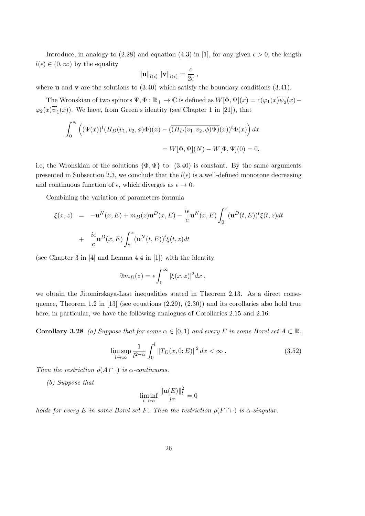Introduce, in analogy to (2.28) and equation (4.3) in [1], for any given  $\epsilon > 0$ , the length  $l(\epsilon) \in (0,\infty)$  by the equality

$$
\|\mathbf{u}\|_{l(\epsilon)}\|\mathbf{v}\|_{l(\epsilon)}=\frac{c}{2\epsilon}\;,
$$

where **u** and **v** are the solutions to  $(3.40)$  which satisfy the boundary conditions  $(3.41)$ .

The Wronskian of two spinors  $\Psi, \Phi : \mathbb{R}_+ \to \mathbb{C}$  is defined as  $W[\Phi, \Psi](x) = c(\varphi_1(x)\overline{\psi}_2(x) \varphi_2(x)\psi_1(x)$ . We have, from Green's identity (see Chapter 1 in [21]), that

$$
\int_0^N \left( (\overline{\Psi}(x))^t (H_D(v_1, v_2, \phi) \Phi)(x) - (\overline{(H_D(v_1, v_2, \phi) \Psi)}(x))^t \Phi(x) \right) dx
$$
  
=  $W[\Phi, \Psi](N) - W[\Phi, \Psi](0) = 0,$ 

i.e, the Wronskian of the solutions  $\{\Phi, \Psi\}$  to  $(3.40)$  is constant. By the same arguments presented in Subsection 2.3, we conclude that the  $l(\epsilon)$  is a well-defined monotone decreasing and continuous function of  $\epsilon$ , which diverges as  $\epsilon \to 0$ .

Combining the variation of parameters formula

$$
\xi(x, z) = -\mathbf{u}^N(x, E) + m_D(z)\mathbf{u}^D(x, E) - \frac{i\epsilon}{c}\mathbf{u}^N(x, E) \int_0^x (\mathbf{u}^D(t, E))^t \xi(t, z) dt
$$
  
+ 
$$
\frac{i\epsilon}{c}\mathbf{u}^D(x, E) \int_0^x (\mathbf{u}^N(t, E))^t \xi(t, z) dt
$$

(see Chapter 3 in [4] and Lemma 4.4 in [1]) with the identity

$$
\Im m_D(z) = \epsilon \int_0^\infty |\xi(x, z)|^2 dx ,
$$

we obtain the Jitomirskaya-Last inequalities stated in Theorem 2.13. As a direct consequence, Theorem 1.2 in  $[13]$  (see equations  $(2.29), (2.30)$ ) and its corollaries also hold true here; in particular, we have the following analogues of Corollaries 2.15 and 2.16:

**Corollary 3.28** (a) Suppose that for some  $\alpha \in [0,1)$  and every E in some Borel set  $A \subset \mathbb{R}$ ,

$$
\limsup_{l \to \infty} \frac{1}{l^{2-\alpha}} \int_0^l \|T_D(x, 0; E)\|^2 dx < \infty.
$$
 (3.52)

Then the restriction  $\rho(A \cap \cdot)$  is  $\alpha$ -continuous.

(b) Suppose that

$$
\liminf_{l \to \infty} \frac{\|\mathbf{u}(E)\|_l^2}{l^{\alpha}} = 0
$$

holds for every E in some Borel set F. Then the restriction  $\rho(F \cap \cdot)$  is  $\alpha$ -singular.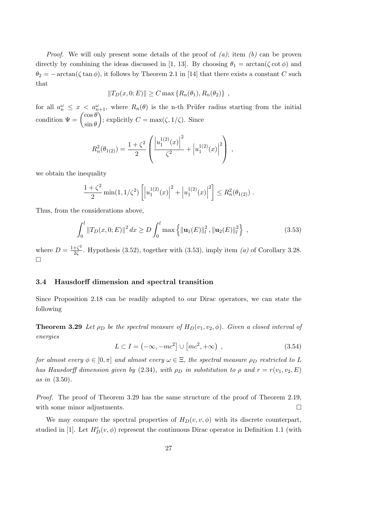*Proof.* We will only present some details of the proof of  $(a)$ ; item  $(b)$  can be proven directly by combining the ideas discussed in [1, 13]. By choosing  $\theta_1 = \arctan(\zeta \cot \phi)$  and  $\theta_2 = -\arctan(\zeta \tan \phi)$ , it follows by Theorem 2.1 in [14] that there exists a constant C such that

$$
||T_D(x, 0; E)|| \ge C \max \{ R_n(\theta_1), R_n(\theta_2) \},
$$

for all  $a_n^{\omega} \leq x < a_{n+1}^{\omega}$ , where  $R_n(\theta)$  is the n-th Prüfer radius starting from the initial condition  $\Psi = \begin{pmatrix} \cos \theta \\ \cdot & \theta \end{pmatrix}$  $\sin \theta$ ); explicitly  $C = \max(\zeta, 1/\zeta)$ . Since

$$
R_n^2(\theta_{1(2)}) = \frac{1+\zeta^2}{2} \left( \frac{\left| u_1^{1(2)}(x) \right|^2}{\zeta^2} + \left| u_1^{1(2)}(x) \right|^2 \right) ,
$$

we obtain the inequality

$$
\frac{1+\zeta^2}{2}\min(1,1/\zeta^2)\left[\left|u_1^{1(2)}(x)\right|^2+\left|u_1^{1(2)}(x)\right|^2\right]\leq R_n^2(\theta_{1(2)})\;.
$$

Thus, from the considerations above,

$$
\int_0^l \|T_D(x,0;E)\|^2 dx \ge D \int_0^l \max\left\{ \|\mathbf{u}_1(E)\|_l^2, \|\mathbf{u}_2(E)\|_l^2 \right\},\tag{3.53}
$$

where  $D = \frac{1+\zeta^2}{2\zeta}$  $\frac{+27}{2\zeta}$ . Hypothesis (3.52), together with (3.53), imply item (a) of Corollary 3.28.  $\Box$ 

### 3.4 Hausdorff dimension and spectral transition

Since Proposition 2.18 can be readily adapted to our Dirac operators, we can state the following

**Theorem 3.29** Let  $\rho_D$  be the spectral measure of  $H_D(v_1, v_2, \phi)$ . Given a closed interval of energies

$$
L \subset I = \left(-\infty, -mc^2\right] \cup \left[mc^2, +\infty\right) ,\qquad (3.54)
$$

for almost every  $\phi \in [0, \pi]$  and almost every  $\omega \in \Xi$ , the spectral measure  $\rho_D$  restricted to L has Hausdorff dimension given by (2.34), with  $\rho_D$  in substitution to  $\rho$  and  $r = r(v_1, v_2, E)$ as in (3.50).

Proof. The proof of Theorem 3.29 has the same structure of the proof of Theorem 2.19, with some minor adjustments.

We may compare the spectral properties of  $H_D(v, v, \phi)$  with its discrete counterpart, studied in [1]. Let  $H_D^c(v, \phi)$  represent the continuous Dirac operator in Definition 1.1 (with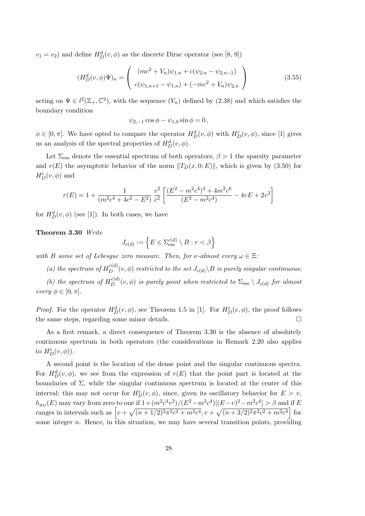$v_1 = v_2$ ) and define  $H_D^d(v, \phi)$  as the discrete Dirac operator (see [8, 9])

$$
(H_D^d(v,\phi)\Psi)_n = \begin{pmatrix} (mc^2 + V_n)\psi_{1,n} + c(\psi_{2,n} - \psi_{2,n-1}) \\ c(\psi_{1,n+1} - \psi_{1,n}) + (-mc^2 + V_n)\psi_{2,n} \end{pmatrix}
$$
(3.55)

acting on  $\Psi \in l^2(\mathbb{Z}_+,\mathbb{C}^2)$ , with the sequence  $(V_n)$  defined by  $(2.38)$  and which satisfies the boundary condition

$$
\psi_{2,-1}\cos\phi - \psi_{1,0}\sin\phi = 0\,,
$$

 $\phi \in [0, \pi]$ . We have opted to compare the operator  $H_D^d(v, \phi)$  with  $H_D^c(v, \phi)$ , since [1] gives us an analysis of the spectral properties of  $H_D^d(v, \phi)$ .

Let  $\Sigma_{\rm ess}$  denote the essential spectrum of both operators,  $\beta > 1$  the sparsity parameter and  $r(E)$  the asymptotic behavior of the norm  $||T_D(x, 0; E)||$ , which is given by (3.50) for  $H_D^c(v,\phi)$  and

$$
r(E) = 1 + \frac{1}{(m^2c^4 + 4c^2 - E^2)} \frac{v^2}{c^2} \left[ \frac{(E^2 - m^2c^4)^2 + 4m^2c^6}{(E^2 - m^2c^4)} - 4vE + 2v^2 \right]
$$

for  $H_D^d(v, \phi)$  (see [1]). In both cases, we have

### Theorem 3.30 Write

$$
J_{c(d)} := \left\{ E \in \Sigma_{\text{ess}}^{c(d)} \setminus B : r < \beta \right\}
$$

with B some set of Lebesque zero measure. Then, for v-almost every  $\omega \in \Xi$ :

(a) the spectrum of  $H_D^{c(d)}(v, \phi)$  restricted to the set  $J_{c(d)} \backslash B$  is purely singular continuous;

(b) the spectrum of  $H_D^{c(d)}(v, \phi)$  is purely point when restricted to  $\Sigma_{\text{ess}} \setminus J_{c(d)}$  for almost every  $\phi \in [0, \pi]$ .

*Proof.* For the operator  $H_D^d(v, \phi)$ , see Theorem 1.5 in [1]. For  $H_D^c(v, \phi)$ , the proof follows the same steps, regarding some minor details.

As a first remark, a direct consequence of Theorem 3.30 is the absence of absolutely continuous spectrum in both operators (the considerations in Remark 2.20 also applies to  $H_D^c(v, \phi)$ ).

A second point is the location of the dense point and the singular continuous spectra. For  $H_D^d(v, \phi)$ , we see from the expression of  $r(E)$  that the point part is located at the boundaries of  $\Sigma$ , while the singular continuous spectrum is located at the center of this interval; this may not occur for  $H_D^c(v, \phi)$ , since, given its oscillatory behavior for  $E > v$ ,  $h_{\rho_D}(E)$  may vary from zero to one if  $1+(m^2c^4v^2)/(E^2-m^2c^4)[(E-v)^2-m^2c^4] > \beta$  and if E ranges in intervals such as  $\left[v + \sqrt{(n+1/2)^2 \pi^2 c^2 + m^2 c^4}, v + \sqrt{(n+3/2)^2 \pi^2 c^2 + m^2 c^4}\right]$  for some integer  $n$ . Hence, in this situation, we may have several transition points, providing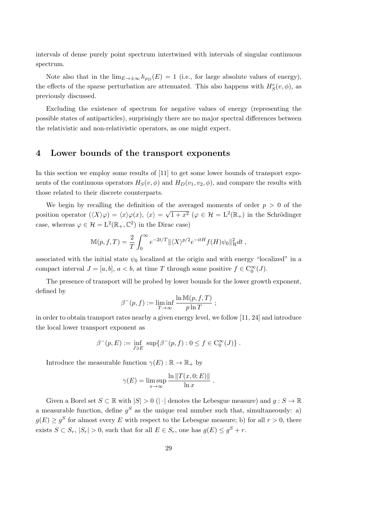intervals of dense purely point spectrum intertwined with intervals of singular continuous spectrum.

Note also that in the  $\lim_{E\to\pm\infty} h_{\rho_D}(E) = 1$  (i.e., for large absolute values of energy), the effects of the sparse perturbation are attenuated. This also happens with  $H_S^c(v, \phi)$ , as previously discussed.

Excluding the existence of spectrum for negative values of energy (representing the possible states of antiparticles), surprisingly there are no major spectral differences between the relativistic and non-relativistic operators, as one might expect.

### 4 Lower bounds of the transport exponents

In this section we employ some results of [11] to get some lower bounds of transport exponents of the continuous operators  $H_S(v, \phi)$  and  $H_D(v_1, v_2, \phi)$ , and compare the results with those related to their discrete counterparts.

We begin by recalling the definition of the averaged moments of order  $p > 0$  of the position operator  $(\langle X \rangle \varphi) = \langle x \rangle \varphi(x), \langle x \rangle =$ √  $\overline{1+x^2}$  ( $\varphi \in \mathcal{H} = L^2(\mathbb{R}_+)$  in the Schrödinger case, whereas  $\varphi \in \mathcal{H} = L^2(\mathbb{R}_+, \mathbb{C}^2)$  in the Dirac case)

$$
\mathbb{M}(p, f, T) = \frac{2}{T} \int_0^{\infty} e^{-2t/T} ||\langle X \rangle^{p/2} e^{-itH} f(H) \psi_0||^2_{\mathcal{H}} dt,
$$

associated with the initial state  $\psi_0$  localized at the origin and with energy "localized" in a compact interval  $J = [a, b]$ ,  $a < b$ , at time T through some positive  $f \in C_0^{\infty}(J)$ .

The presence of transport will be probed by lower bounds for the lower growth exponent, defined by

$$
\beta^-(p, f) := \liminf_{T \to \infty} \frac{\ln M(p, f, T)}{p \ln T} ;
$$

in order to obtain transport rates nearby a given energy level, we follow [11, 24] and introduce the local lower transport exponent as

$$
\beta^-(p, E) := \inf_{J \ni E} \, \sup \{ \beta^-(p, f) : 0 \le f \in C_0^{\infty}(J) \} .
$$

Introduce the measurable function  $\gamma(E) : \mathbb{R} \to \mathbb{R}_+$  by

$$
\gamma(E) = \limsup_{x \to \infty} \frac{\ln \|T(x, 0; E)\|}{\ln x}
$$

.

Given a Borel set  $S \subset \mathbb{R}$  with  $|S| > 0$  ( $|\cdot|$  denotes the Lebesgue measure) and  $q: S \to \mathbb{R}$ a measurable function, define  $g^S$  as the unique real number such that, simultaneously: a)  $g(E) \ge g^S$  for almost every E with respect to the Lebesgue measure; b) for all  $r > 0$ , there exists  $S \subset S_r$ ,  $|S_r| > 0$ , such that for all  $E \in S_r$ , one has  $g(E) \le g^S + r$ .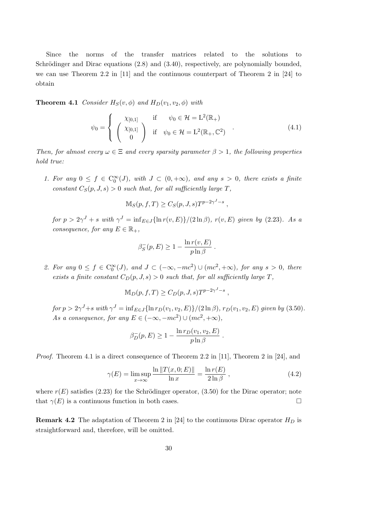Since the norms of the transfer matrices related to the solutions to Schrödinger and Dirac equations  $(2.8)$  and  $(3.40)$ , respectively, are polynomially bounded, we can use Theorem 2.2 in [11] and the continuous counterpart of Theorem 2 in [24] to obtain

**Theorem 4.1** Consider  $H_S(v, \phi)$  and  $H_D(v_1, v_2, \phi)$  with

$$
\psi_0 = \begin{cases}\n\chi_{[0,1]} & \text{if } \psi_0 \in \mathcal{H} = \mathbb{L}^2(\mathbb{R}_+) \\
\chi_{[0,1]} & \text{if } \psi_0 \in \mathcal{H} = \mathbb{L}^2(\mathbb{R}_+, \mathbb{C}^2)\n\end{cases} (4.1)
$$

Then, for almost every  $\omega \in \Xi$  and every sparsity parameter  $\beta > 1$ , the following properties hold true:

1. For any  $0 \le f \in C_0^{\infty}(J)$ , with  $J \subset (0, +\infty)$ , and any  $s > 0$ , there exists a finite constant  $C_S(p, J, s) > 0$  such that, for all sufficiently large T,

$$
\mathbb{M}_S(p, f, T) \ge C_S(p, J, s) T^{p-2\gamma^J - s} ,
$$

for  $p > 2\gamma^J + s$  with  $\gamma^J = \inf_{E \in J} {\ln r(v, E)} / (2 \ln \beta)$ ,  $r(v, E)$  given by (2.23). As a consequence, for any  $E \in \mathbb{R}_+$ ,

$$
\beta_S^-(p, E) \ge 1 - \frac{\ln r(v, E)}{p \ln \beta}.
$$

2. For any  $0 \le f \in C_0^{\infty}(J)$ , and  $J \subset (-\infty, -mc^2) \cup (mc^2, +\infty)$ , for any  $s > 0$ , there exists a finite constant  $C_D(p, J, s) > 0$  such that, for all sufficiently large T,

$$
\mathbb{M}_D(p, f, T) \ge C_D(p, J, s) T^{p-2\gamma^J - s} ,
$$

 $for p > 2\gamma^J + s \ with \ \gamma^J = \inf_{E \in J} {\ln r_D(v_1, v_2, E)} / (2 \ln \beta), \ r_D(v_1, v_2, E) \ given \ by \ (3.50).$ As a consequence, for any  $E \in (-\infty, -mc^2) \cup (mc^2, +\infty)$ ,

$$
\beta_D^-(p, E) \ge 1 - \frac{\ln r_D(v_1, v_2, E)}{p \ln \beta}.
$$

Proof. Theorem 4.1 is a direct consequence of Theorem 2.2 in [11], Theorem 2 in [24], and

$$
\gamma(E) = \limsup_{x \to \infty} \frac{\ln \|T(x, 0; E)\|}{\ln x} = \frac{\ln r(E)}{2 \ln \beta}, \qquad (4.2)
$$

where  $r(E)$  satisfies (2.23) for the Schrödinger operator, (3.50) for the Dirac operator; note that  $\gamma(E)$  is a continuous function in both cases.

**Remark 4.2** The adaptation of Theorem 2 in [24] to the continuous Dirac operator  $H_D$  is straightforward and, therefore, will be omitted.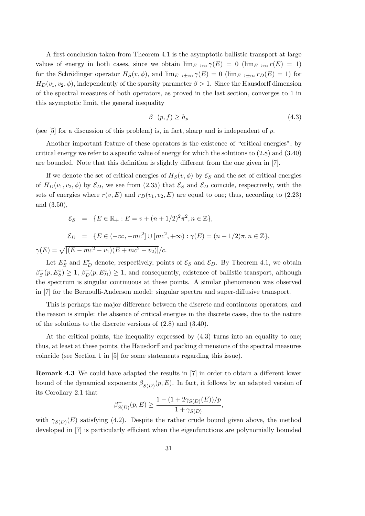A first conclusion taken from Theorem 4.1 is the asymptotic ballistic transport at large values of energy in both cases, since we obtain  $\lim_{E\to\infty} \gamma(E) = 0$  ( $\lim_{E\to\infty} r(E) = 1$ ) for the Schrödinger operator  $H_S(v, \phi)$ , and  $\lim_{E\to\pm\infty} \gamma(E) = 0$  ( $\lim_{E\to\pm\infty} r_D(E) = 1$ ) for  $H_D(v_1, v_2, \phi)$ , independently of the sparsity parameter  $\beta > 1$ . Since the Hausdorff dimension of the spectral measures of both operators, as proved in the last section, converges to 1 in this asymptotic limit, the general inequality

$$
\beta^-(p,f) \ge h_\rho \tag{4.3}
$$

(see [5] for a discussion of this problem) is, in fact, sharp and is independent of  $p$ .

Another important feature of these operators is the existence of "critical energies"; by critical energy we refer to a specific value of energy for which the solutions to (2.8) and (3.40) are bounded. Note that this definition is slightly different from the one given in [7].

If we denote the set of critical energies of  $H_S(v, \phi)$  by  $\mathcal{E}_S$  and the set of critical energies of  $H_D(v_1, v_2, \phi)$  by  $\mathcal{E}_D$ , we see from (2.35) that  $\mathcal{E}_S$  and  $\mathcal{E}_D$  coincide, respectively, with the sets of energies where  $r(v, E)$  and  $r_D(v_1, v_2, E)$  are equal to one; thus, according to (2.23) and (3.50),

$$
\mathcal{E}_S = \{ E \in \mathbb{R}_+ : E = v + (n+1/2)^2 \pi^2, n \in \mathbb{Z} \},\
$$

$$
\mathcal{E}_D = \{ E \in (-\infty, -mc^2] \cup [mc^2, +\infty) : \gamma(E) = (n+1/2)\pi, n \in \mathbb{Z} \},
$$
  

$$
\gamma(E) = \sqrt{|(E - mc^2 - v_1)(E + mc^2 - v_2)|}/c.
$$

Let  $E_S^c$  and  $E_D^c$  denote, respectively, points of  $\mathcal{E}_S$  and  $\mathcal{E}_D$ . By Theorem 4.1, we obtain  $\beta_S^ S(S(T), E_S^c) \geq 1, \beta_D^-(p, E_D^c) \geq 1$ , and consequently, existence of ballistic transport, although the spectrum is singular continuous at these points. A similar phenomenon was observed in [7] for the Bernoulli-Anderson model: singular spectra and super-diffusive transport.

This is perhaps the major difference between the discrete and continuous operators, and the reason is simple: the absence of critical energies in the discrete cases, due to the nature of the solutions to the discrete versions of (2.8) and (3.40).

At the critical points, the inequality expressed by (4.3) turns into an equality to one; thus, at least at these points, the Hausdorff and packing dimensions of the spectral measures coincide (see Section 1 in [5] for some statements regarding this issue).

Remark 4.3 We could have adapted the results in [7] in order to obtain a different lower bound of the dynamical exponents  $\beta_{\mathcal{S}_{\alpha}}^ S_{(D)}(p, E)$ . In fact, it follows by an adapted version of its Corollary 2.1 that

$$
\beta_{S(D)}^-(p, E) \ge \frac{1 - (1 + 2\gamma_{S(D)}(E))/p}{1 + \gamma_{S(D)}},
$$

with  $\gamma_{S(D)}(E)$  satisfying (4.2). Despite the rather crude bound given above, the method developed in [7] is particularly efficient when the eigenfunctions are polynomially bounded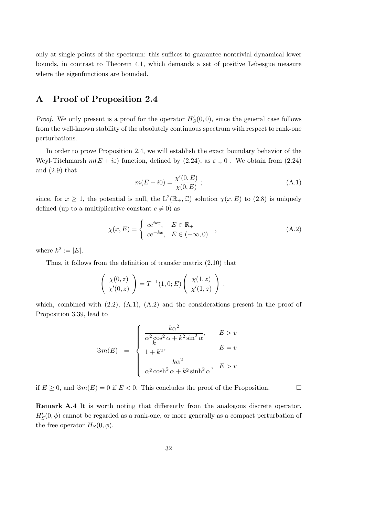only at single points of the spectrum: this suffices to guarantee nontrivial dynamical lower bounds, in contrast to Theorem 4.1, which demands a set of positive Lebesgue measure where the eigenfunctions are bounded.

# A Proof of Proposition 2.4

*Proof.* We only present is a proof for the operator  $H'_{\mathcal{S}}(0,0)$ , since the general case follows from the well-known stability of the absolutely continuous spectrum with respect to rank-one perturbations.

In order to prove Proposition 2.4, we will establish the exact boundary behavior of the Weyl-Titchmarsh  $m(E + i\varepsilon)$  function, defined by (2.24), as  $\varepsilon \downarrow 0$ . We obtain from (2.24) and (2.9) that

$$
m(E + i0) = \frac{\chi'(0, E)}{\chi(0, E)} ;
$$
 (A.1)

since, for  $x \geq 1$ , the potential is null, the  $L^2(\mathbb{R}_+, \mathbb{C})$  solution  $\chi(x, E)$  to  $(2.8)$  is uniquely defined (up to a multiplicative constant  $c \neq 0$ ) as

$$
\chi(x, E) = \begin{cases} ce^{ikx}, & E \in \mathbb{R}_+ \\ ce^{-kx}, & E \in (-\infty, 0) \end{cases}
$$
 (A.2)

where  $k^2 := |E|$ .

Thus, it follows from the definition of transfer matrix (2.10) that

$$
\left(\begin{array}{c} \chi(0,z) \\ \chi'(0,z) \end{array}\right) = T^{-1}(1,0;E) \left(\begin{array}{c} \chi(1,z) \\ \chi'(1,z) \end{array}\right) ,
$$

which, combined with  $(2.2)$ ,  $(A.1)$ ,  $(A.2)$  and the considerations present in the proof of Proposition 3.39, lead to

$$
\Im m(E) = \begin{cases} \frac{k\alpha^2}{\alpha^2 \cos^2 \alpha + k^2 \sin^2 \alpha}, & E > v \\ \frac{k}{1 + k^2}, & E = v \\ \frac{k\alpha^2}{\alpha^2 \cosh^2 \alpha + k^2 \sinh^2 \alpha}, & E > v \end{cases}
$$

if  $E \geq 0$ , and  $\Im m(E) = 0$  if  $E < 0$ . This concludes the proof of the Proposition.

Remark A.4 It is worth noting that differently from the analogous discrete operator,  $H'_{S}(0, \phi)$  cannot be regarded as a rank-one, or more generally as a compact perturbation of the free operator  $H_S(0, \phi)$ .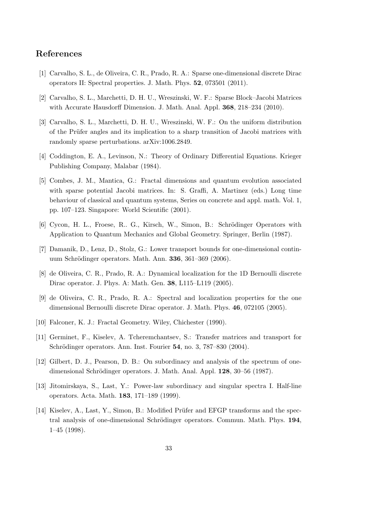### References

- [1] Carvalho, S. L., de Oliveira, C. R., Prado, R. A.: Sparse one-dimensional discrete Dirac operators II: Spectral properties. J. Math. Phys. 52, 073501 (2011).
- [2] Carvalho, S. L., Marchetti, D. H. U., Wreszinski, W. F.: Sparse Block–Jacobi Matrices with Accurate Hausdorff Dimension. J. Math. Anal. Appl. **368**, 218–234 (2010).
- [3] Carvalho, S. L., Marchetti, D. H. U., Wreszinski, W. F.: On the uniform distribution of the Prüfer angles and its implication to a sharp transition of Jacobi matrices with randomly sparse perturbations. arXiv:1006.2849.
- [4] Coddington, E. A., Levinson, N.: Theory of Ordinary Differential Equations. Krieger Publishing Company, Malabar (1984).
- [5] Combes, J. M., Mantica, G.: Fractal dimensions and quantum evolution associated with sparse potential Jacobi matrices. In: S. Graffi, A. Martinez (eds.) Long time behaviour of classical and quantum systems, Series on concrete and appl. math. Vol. 1, pp. 107–123. Singapore: World Scientific (2001).
- [6] Cycon, H. L., Froese, R., G., Kirsch, W., Simon, B.: Schrödinger Operators with Application to Quantum Mechanics and Global Geometry. Springer, Berlin (1987).
- [7] Damanik, D., Lenz, D., Stolz, G.: Lower transport bounds for one-dimensional continuum Schrödinger operators. Math. Ann. **336**, 361–369 (2006).
- [8] de Oliveira, C. R., Prado, R. A.: Dynamical localization for the 1D Bernoulli discrete Dirac operator. J. Phys. A: Math. Gen. 38, L115–L119 (2005).
- [9] de Oliveira, C. R., Prado, R. A.: Spectral and localization properties for the one dimensional Bernoulli discrete Dirac operator. J. Math. Phys. 46, 072105 (2005).
- [10] Falconer, K. J.: Fractal Geometry. Wiley, Chichester (1990).
- [11] Germinet, F., Kiselev, A. Tcheremchantsev, S.: Transfer matrices and transport for Schrödinger operators. Ann. Inst. Fourier 54, no. 3, 787–830 (2004).
- [12] Gilbert, D. J., Pearson, D. B.: On subordinacy and analysis of the spectrum of onedimensional Schrödinger operators. J. Math. Anal. Appl. 128, 30–56 (1987).
- [13] Jitomirskaya, S., Last, Y.: Power-law subordinacy and singular spectra I. Half-line operators. Acta. Math. 183, 171–189 (1999).
- [14] Kiselev, A., Last, Y., Simon, B.: Modified Prüfer and EFGP transforms and the spectral analysis of one-dimensional Schrödinger operators. Commun. Math. Phys. 194, 1–45 (1998).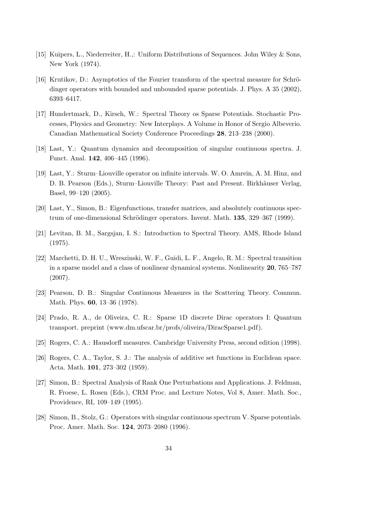- [15] Kuipers, L., Niederreiter, H.,: Uniform Distributions of Sequences. John Wiley & Sons, New York (1974).
- [16] Krutikov, D.: Asymptotics of the Fourier transform of the spectral measure for Schrödinger operators with bounded and unbounded sparse potentials. J. Phys. A 35 (2002), 6393–6417.
- [17] Hundertmark, D., Kirsch, W.: Spectral Theory os Sparse Potentials. Stochastic Processes, Physics and Geometry: New Interplays. A Volume in Honor of Sergio Albeverio. Canadian Mathematical Society Conference Proceedings 28, 213–238 (2000).
- [18] Last, Y.: Quantum dynamics and decomposition of singular continuous spectra. J. Funct. Anal. 142, 406–445 (1996).
- [19] Last, Y.: Sturm–Liouville operator on infinite intervals. W. O. Amrein, A. M. Hinz, and D. B. Pearson (Eds.), Sturm–Liouville Theory: Past and Present. Birkhäuser Verlag, Basel, 99–120 (2005).
- [20] Last, Y., Simon, B.: Eigenfunctions, transfer matrices, and absolutely continuous spectrum of one-dimensional Schrödinger operators. Invent. Math. 135, 329–367 (1999).
- [21] Levitan, B. M., Sargsjan, I. S.: Introduction to Spectral Theory. AMS, Rhode Island (1975).
- [22] Marchetti, D. H. U., Wreszinski, W. F., Guidi, L. F., Angelo, R. M.: Spectral transition in a sparse model and a class of nonlinear dynamical systems. Nonlinearity 20, 765–787 (2007).
- [23] Pearson, D. B.: Singular Continuous Measures in the Scattering Theory. Commun. Math. Phys. 60, 13–36 (1978).
- [24] Prado, R. A., de Oliveira, C. R.: Sparse 1D discrete Dirac operators I: Quantum transport. preprint (www.dm.ufscar.br/profs/oliveira/DiracSparse1.pdf).
- [25] Rogers, C. A.: Hausdorff measures. Cambridge University Press, second edition (1998).
- [26] Rogers, C. A., Taylor, S. J.: The analysis of additive set functions in Euclidean space. Acta. Math. 101, 273–302 (1959).
- [27] Simon, B.: Spectral Analysis of Rank One Perturbations and Applications. J. Feldman, R. Froese, L. Rosen (Eds.), CRM Proc. and Lecture Notes, Vol 8, Amer. Math. Soc., Providence, RI, 109–149 (1995).
- [28] Simon, B., Stolz, G.: Operators with singular continuous spectrum V. Sparse potentials. Proc. Amer. Math. Soc. 124, 2073–2080 (1996).